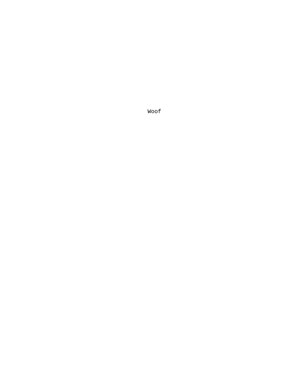Woof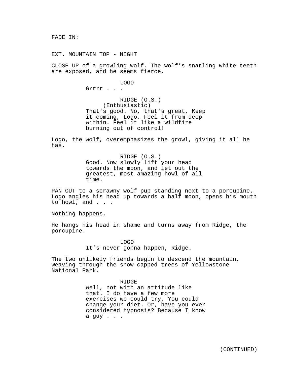FADE IN:

EXT. MOUNTAIN TOP - NIGHT

CLOSE UP of a growling wolf. The wolf's snarling white teeth are exposed, and he seems fierce.

LOGO

Grrrr . . .

RIDGE (O.S.) (Enthusiastic) That's good. No, that's great. Keep it coming, Logo. Feel it from deep within. Feel it like a wildfire burning out of control!

Logo, the wolf, overemphasizes the growl, giving it all he has.

> RIDGE (O.S.) Good. Now slowly lift your head towards the moon, and let out the greatest, most amazing howl of all time.

PAN OUT to a scrawny wolf pup standing next to a porcupine. Logo angles his head up towards a half moon, opens his mouth to howl, and . . .

Nothing happens.

He hangs his head in shame and turns away from Ridge, the porcupine.

> LOGO It's never gonna happen, Ridge.

The two unlikely friends begin to descend the mountain, weaving through the snow capped trees of Yellowstone National Park.

> RIDGE Well, not with an attitude like that. I do have a few more exercises we could try. You could change your diet. Or, have you ever considered hypnosis? Because I know a guy . . .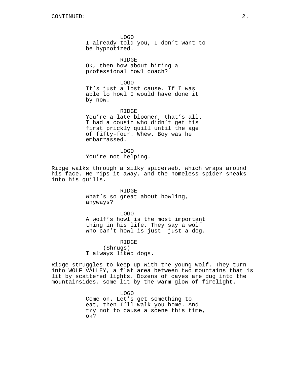LOGO I already told you, I don't want to be hypnotized.

RIDGE Ok, then how about hiring a professional howl coach?

LOGO It's just a lost cause. If I was able to howl I would have done it by now.

RIDGE You're a late bloomer, that's all. I had a cousin who didn't get his first prickly quill until the age of fifty-four. Whew. Boy was he embarrassed.

LOGO You're not helping.

Ridge walks through a silky spiderweb, which wraps around his face. He rips it away, and the homeless spider sneaks into his quills.

> RIDGE What's so great about howling, anyways?

LOGO A wolf's howl is the most important thing in his life. They say a wolf who can't howl is just--just a dog.

RIDGE (Shrugs) I always liked dogs.

Ridge struggles to keep up with the young wolf. They turn into WOLF VALLEY, a flat area between two mountains that is lit by scattered lights. Dozens of caves are dug into the mountainsides, some lit by the warm glow of firelight.

> LOGO Come on. Let's get something to eat, then I'll walk you home. And try not to cause a scene this time, ok?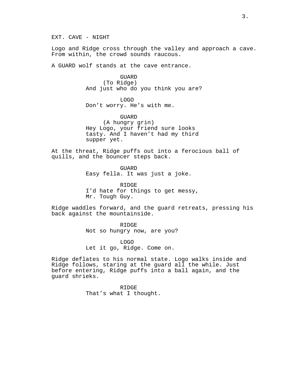EXT. CAVE - NIGHT

Logo and Ridge cross through the valley and approach a cave. From within, the crowd sounds raucous.

A GUARD wolf stands at the cave entrance.

**GUARD** (To Ridge) And just who do you think you are?

LOGO Don't worry. He's with me.

GUARD (A hungry grin) Hey Logo, your friend sure looks tasty. And I haven't had my third supper yet.

At the threat, Ridge puffs out into a ferocious ball of quills, and the bouncer steps back.

> GUARD Easy fella. It was just a joke.

RIDGE I'd hate for things to get messy, Mr. Tough Guy.

Ridge waddles forward, and the guard retreats, pressing his back against the mountainside.

> RIDGE Not so hungry now, are you?

LOGO Let it go, Ridge. Come on.

Ridge deflates to his normal state. Logo walks inside and Ridge follows, staring at the guard all the while. Just before entering, Ridge puffs into a ball again, and the guard shrieks.

> RIDGE That's what I thought.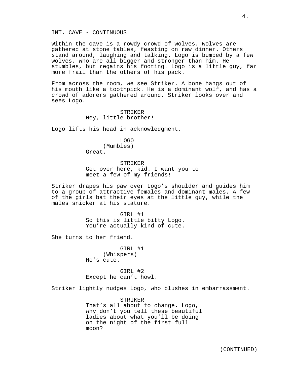INT. CAVE - CONTINUOUS

Within the cave is a rowdy crowd of wolves. Wolves are gathered at stone tables, feasting on raw dinner. Others stand around, laughing and talking. Logo is bumped by a few wolves, who are all bigger and stronger than him. He stumbles, but regains his footing. Logo is a little guy, far more frail than the others of his pack.

From across the room, we see Striker. A bone hangs out of his mouth like a toothpick. He is a dominant wolf, and has a crowd of adorers gathered around. Striker looks over and sees Logo.

# STRIKER Hey, little brother!

Logo lifts his head in acknowledgment.

LOGO (Mumbles) Great.

STRIKER Get over here, kid. I want you to meet a few of my friends!

Striker drapes his paw over Logo's shoulder and guides him to a group of attractive females and dominant males. A few of the girls bat their eyes at the little guy, while the males snicker at his stature.

> GIRL #1 So this is little bitty Logo. You're actually kind of cute.

She turns to her friend.

GIRL #1 (Whispers) He's cute.

GIRL #2 Except he can't howl.

Striker lightly nudges Logo, who blushes in embarrassment.

STRIKER That's all about to change. Logo, why don't you tell these beautiful ladies about what you'll be doing on the night of the first full moon?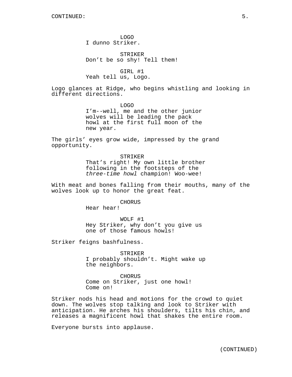LOGO I dunno Striker.

STRIKER Don't be so shy! Tell them!

GIRL #1 Yeah tell us, Logo.

Logo glances at Ridge, who begins whistling and looking in different directions.

> LOGO I'm--well, me and the other junior wolves will be leading the pack howl at the first full moon of the new year.

The girls' eyes grow wide, impressed by the grand opportunity.

> STRIKER That's right! My own little brother following in the footsteps of the three-time howl champion! Woo-wee!

With meat and bones falling from their mouths, many of the wolves look up to honor the great feat.

CHORUS

Hear hear!

WOLF #1 Hey Striker, why don't you give us one of those famous howls!

Striker feigns bashfulness.

STRIKER I probably shouldn't. Might wake up the neighbors.

CHORUS Come on Striker, just one howl! Come on!

Striker nods his head and motions for the crowd to quiet down. The wolves stop talking and look to Striker with anticipation. He arches his shoulders, tilts his chin, and releases a magnificent howl that shakes the entire room.

Everyone bursts into applause.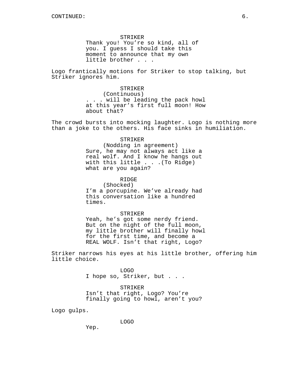STRIKER Thank you! You're so kind, all of you. I guess I should take this moment to announce that my own little brother . . .

Logo frantically motions for Striker to stop talking, but Striker ignores him.

> STRIKER (Continuous) . . . will be leading the pack howl at this year's first full moon! How about that?

The crowd bursts into mocking laughter. Logo is nothing more than a joke to the others. His face sinks in humiliation.

### STRIKER

(Nodding in agreement) Sure, he may not always act like a real wolf. And I know he hangs out with this little . . .(To Ridge) what are you again?

RIDGE

(Shocked) I'm a porcupine. We've already had this conversation like a hundred times.

STRIKER

Yeah, he's got some nerdy friend. But on the night of the full moon, my little brother will finally howl for the first time, and become a REAL WOLF. Isn't that right, Logo?

Striker narrows his eyes at his little brother, offering him little choice.

> LOGO I hope so, Striker, but . . .

STRIKER Isn't that right, Logo? You're finally going to howl, aren't you?

Logo gulps.

LOGO

Yep.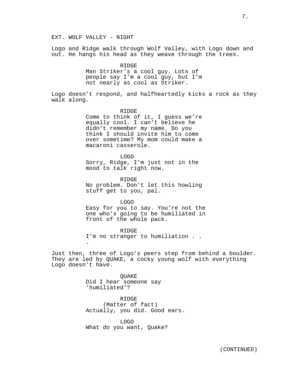Logo and Ridge walk through Wolf Valley, with Logo down and out. He hangs his head as they weave through the trees.

> RIDGE Man Striker's a cool guy. Lots of people say I'm a cool guy, but I'm not nearly as cool as Striker.

Logo doesn't respond, and halfheartedly kicks a rock as they walk along.

> RIDGE Come to think of it, I guess we're equally cool. I can't believe he didn't remember my name. Do you think I should invite him to come over sometime? My mom could make a macaroni casserole.

LOGO Sorry, Ridge, I'm just not in the mood to talk right now.

RIDGE No problem. Don't let this howling stuff get to you, pal.

LOGO Easy for you to say. You're not the one who's going to be humiliated in front of the whole pack.

RIDGE I'm no stranger to humiliation . . .

Just then, three of Logo's peers step from behind a boulder. They are led by QUAKE, a cocky young wolf with everything Logo doesn't have.

> QUAKE Did I hear someone say 'humiliated'?

RIDGE (Matter of fact) Actually, you did. Good ears.

LOGO What do you want, Quake?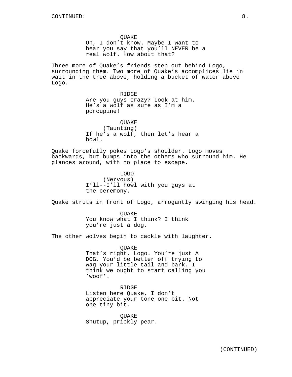QUAKE Oh, I don't know. Maybe I want to hear you say that you'll NEVER be a real wolf. How about that?

Three more of Quake's friends step out behind Logo, surrounding them. Two more of Quake's accomplices lie in wait in the tree above, holding a bucket of water above Logo.

> RIDGE Are you guys crazy? Look at him. He's a wolf as sure as I'm a porcupine!

QUAKE (Taunting) If he's a wolf, then let's hear a howl.

Quake forcefully pokes Logo's shoulder. Logo moves backwards, but bumps into the others who surround him. He glances around, with no place to escape.

> LOGO (Nervous) I'll--I'll howl with you guys at the ceremony.

Quake struts in front of Logo, arrogantly swinging his head.

QUAKE You know what I think? I think you're just a dog.

The other wolves begin to cackle with laughter.

QUAKE That's right, Logo. You're just A DOG. You'd be better off trying to wag your little tail and bark. I think we ought to start calling you 'woof'.

RIDGE Listen here Quake, I don't appreciate your tone one bit. Not one tiny bit.

QUAKE Shutup, prickly pear.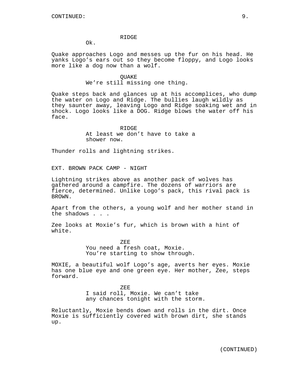### RIDGE

Ok.

Quake approaches Logo and messes up the fur on his head. He yanks Logo's ears out so they become floppy, and Logo looks more like a dog now than a wolf.

## QUAKE We're still missing one thing.

Quake steps back and glances up at his accomplices, who dump the water on Logo and Ridge. The bullies laugh wildly as they saunter away, leaving Logo and Ridge soaking wet and in shock. Logo looks like a DOG. Ridge blows the water off his face.

> RIDGE At least we don't have to take a shower now.

Thunder rolls and lightning strikes.

EXT. BROWN PACK CAMP - NIGHT

Lightning strikes above as another pack of wolves has gathered around a campfire. The dozens of warriors are fierce, determined. Unlike Logo's pack, this rival pack is BROWN.

Apart from the others, a young wolf and her mother stand in the shadows . . .

Zee looks at Moxie's fur, which is brown with a hint of white.

> ZEE You need a fresh coat, Moxie. You're starting to show through.

MOXIE, a beautiful wolf Logo's age, averts her eyes. Moxie has one blue eye and one green eye. Her mother, Zee, steps forward.

> ZEE I said roll, Moxie. We can't take any chances tonight with the storm.

Reluctantly, Moxie bends down and rolls in the dirt. Once Moxie is sufficiently covered with brown dirt, she stands up.

(CONTINUED)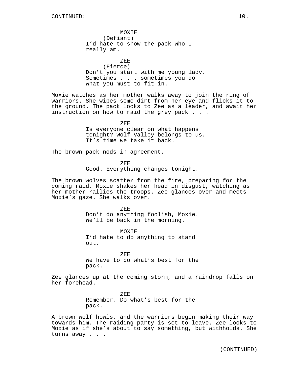MOXIE (Defiant) I'd hate to show the pack who I really am.

ZEE (Fierce) Don't you start with me young lady. Sometimes . . . sometimes you do what you must to fit in.

Moxie watches as her mother walks away to join the ring of warriors. She wipes some dirt from her eye and flicks it to the ground. The pack looks to Zee as a leader, and await her instruction on how to raid the grey pack . . .

> ZEE Is everyone clear on what happens tonight? Wolf Valley belongs to us. It's time we take it back.

The brown pack nods in agreement.

ZEE

Good. Everything changes tonight.

The brown wolves scatter from the fire, preparing for the coming raid. Moxie shakes her head in disgust, watching as her mother rallies the troops. Zee glances over and meets Moxie's gaze. She walks over.

> ZEE Don't do anything foolish, Moxie. We'll be back in the morning.

**MOXTE** I'd hate to do anything to stand out.

ZEE We have to do what's best for the pack.

Zee glances up at the coming storm, and a raindrop falls on her forehead.

> ZEE Remember. Do what's best for the pack.

A brown wolf howls, and the warriors begin making their way towards him. The raiding party is set to leave. Zee looks to Moxie as if she's about to say something, but withholds. She turns away . . .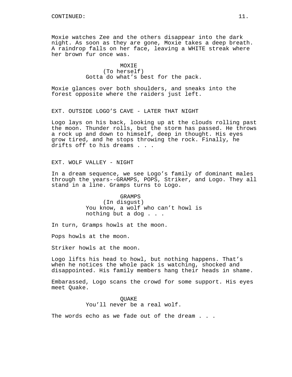Moxie watches Zee and the others disappear into the dark night. As soon as they are gone, Moxie takes a deep breath. A raindrop falls on her face, leaving a WHITE streak where her brown fur once was.

> **MOXTE** (To herself) Gotta do what's best for the pack.

Moxie glances over both shoulders, and sneaks into the forest opposite where the raiders just left.

EXT. OUTSIDE LOGO'S CAVE - LATER THAT NIGHT

Logo lays on his back, looking up at the clouds rolling past the moon. Thunder rolls, but the storm has passed. He throws a rock up and down to himself, deep in thought. His eyes grow tired, and he stops throwing the rock. Finally, he drifts off to his dreams . . .

EXT. WOLF VALLEY - NIGHT

In a dream sequence, we see Logo's family of dominant males through the years--GRAMPS, POPS, Striker, and Logo. They all stand in a line. Gramps turns to Logo.

> GRAMPS (In disgust) You know, a wolf who can't howl is nothing but a dog . . .

In turn, Gramps howls at the moon.

Pops howls at the moon.

Striker howls at the moon.

Logo lifts his head to howl, but nothing happens. That's when he notices the whole pack is watching, shocked and disappointed. His family members hang their heads in shame.

Embarassed, Logo scans the crowd for some support. His eyes meet Quake.

> QUAKE You'll never be a real wolf.

The words echo as we fade out of the dream . . .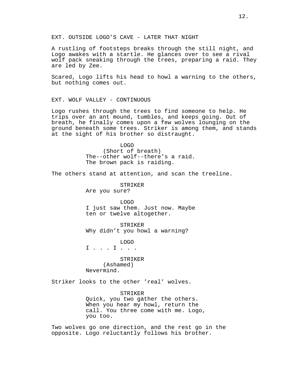EXT. OUTSIDE LOGO'S CAVE - LATER THAT NIGHT

A rustling of footsteps breaks through the still night, and Logo awakes with a startle. He glances over to see a rival wolf pack sneaking through the trees, preparing a raid. They are led by Zee.

Scared, Logo lifts his head to howl a warning to the others, but nothing comes out.

EXT. WOLF VALLEY - CONTINUOUS

Logo rushes through the trees to find someone to help. He trips over an ant mound, tumbles, and keeps going. Out of breath, he finally comes upon a few wolves lounging on the ground beneath some trees. Striker is among them, and stands at the sight of his brother so distraught.

> LOGO (Short of breath) The--other wolf--there's a raid. The brown pack is raiding.

The others stand at attention, and scan the treeline.

STRIKER Are you sure?

LOGO I just saw them. Just now. Maybe ten or twelve altogether.

STRIKER Why didn't you howl a warning?

LOGO I . . . I . . .

STRIKER (Ashamed) Nevermind.

Striker looks to the other 'real' wolves.

STRIKER Quick, you two gather the others. When you hear my howl, return the call. You three come with me. Logo, you too.

Two wolves go one direction, and the rest go in the opposite. Logo reluctantly follows his brother.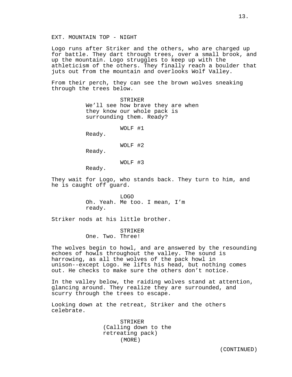Logo runs after Striker and the others, who are charged up for battle. They dart through trees, over a small brook, and up the mountain. Logo struggles to keep up with the athleticism of the others. They finally reach a boulder that juts out from the mountain and overlooks Wolf Valley.

From their perch, they can see the brown wolves sneaking through the trees below.

> STRIKER We'll see how brave they are when they know our whole pack is surrounding them. Ready?

> > WOLF #1

Ready.

WOLF #2

Ready.

WOLF #3

Ready.

They wait for Logo, who stands back. They turn to him, and he is caught off guard.

> LOGO Oh. Yeah. Me too. I mean, I'm ready.

Striker nods at his little brother.

STRIKER One. Two. Three!

The wolves begin to howl, and are answered by the resounding echoes of howls throughout the valley. The sound is harrowing, as all the wolves of the pack howl in unison--except Logo. He lifts his head, but nothing comes out. He checks to make sure the others don't notice.

In the valley below, the raiding wolves stand at attention, glancing around. They realize they are surrounded, and scurry through the trees to escape.

Looking down at the retreat, Striker and the others celebrate.

> STRIKER (Calling down to the retreating pack) (MORE)

(CONTINUED)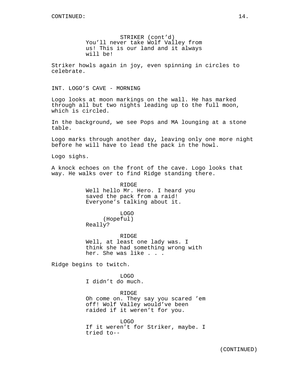STRIKER (cont'd) You'll never take Wolf Valley from us! This is our land and it always will be!

Striker howls again in joy, even spinning in circles to celebrate.

INT. LOGO'S CAVE - MORNING

Logo looks at moon markings on the wall. He has marked through all but two nights leading up to the full moon, which is circled.

In the background, we see Pops and MA lounging at a stone table.

Logo marks through another day, leaving only one more night before he will have to lead the pack in the howl.

Logo sighs.

A knock echoes on the front of the cave. Logo looks that way. He walks over to find Ridge standing there.

> RIDGE Well hello Mr. Hero. I heard you saved the pack from a raid! Everyone's talking about it.

> > LOGO

(Hopeful) Really?

RIDGE Well, at least one lady was. I think she had something wrong with her. She was like . . .

Ridge begins to twitch.

LOGO I didn't do much.

RIDGE Oh come on. They say you scared 'em off! Wolf Valley would've been raided if it weren't for you.

LOGO If it weren't for Striker, maybe. I tried to--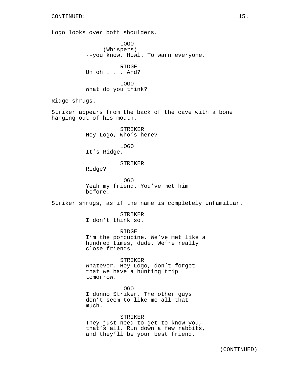### CONTINUED: 15.

Logo looks over both shoulders.

LOGO (Whispers) --you know. Howl. To warn everyone.

RIDGE Uh oh . . . And?

LOGO What do you think?

Ridge shrugs.

Striker appears from the back of the cave with a bone hanging out of his mouth.

> STRIKER Hey Logo, who's here?

LOGO It's Ridge.

## STRIKER

Ridge?

LOGO Yeah my friend. You've met him before.

Striker shrugs, as if the name is completely unfamiliar.

### STRIKER

I don't think so.

RIDGE I'm the porcupine. We've met like a hundred times, dude. We're really close friends.

STRIKER Whatever. Hey Logo, don't forget that we have a hunting trip tomorrow.

LOGO I dunno Striker. The other guys don't seem to like me all that much.

STRIKER They just need to get to know you, that's all. Run down a few rabbits, and they'll be your best friend.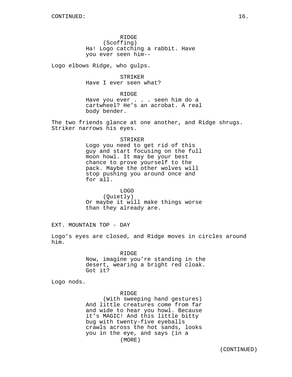RIDGE (Scoffing) Ha! Logo catching a rabbit. Have you ever seen him--

Logo elbows Ridge, who gulps.

STRIKER Have I ever seen what?

RIDGE

Have you ever . . . seen him do a cartwheel? He's an acrobat. A real body bender.

The two friends glance at one another, and Ridge shrugs. Striker narrows his eyes.

#### STRIKER

Logo you need to get rid of this guy and start focusing on the full moon howl. It may be your best chance to prove yourself to the pack. Maybe the other wolves will stop pushing you around once and for all.

LOGO (Quietly) Or maybe it will make things worse than they already are.

EXT. MOUNTAIN TOP - DAY

Logo's eyes are closed, and Ridge moves in circles around him.

> RIDGE Now, imagine you're standing in the desert, wearing a bright red cloak. Got it?

Logo nods.

RIDGE

(With sweeping hand gestures) And little creatures come from far and wide to hear you howl. Because it's MAGIC! And this little bitty bug with twenty-five eyeballs crawls across the hot sands, looks you in the eye, and says (in a (MORE)

(CONTINUED)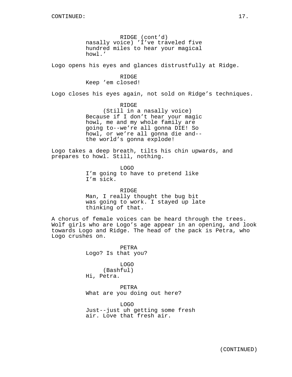RIDGE (cont'd) nasally voice) 'I've traveled five hundred miles to hear your magical howl.'

Logo opens his eyes and glances distrustfully at Ridge.

## RIDGE

Keep 'em closed!

Logo closes his eyes again, not sold on Ridge's techniques.

RIDGE (Still in a nasally voice) Because if I don't hear your magic howl, me and my whole family are going to--we're all gonna DIE! So howl, or we're all gonna die and- the world's gonna explode!

Logo takes a deep breath, tilts his chin upwards, and prepares to howl. Still, nothing.

> LOGO I'm going to have to pretend like I'm sick.

RIDGE Man, I really thought the bug bit was going to work. I stayed up late thinking of that.

A chorus of female voices can be heard through the trees. Wolf girls who are Logo's age appear in an opening, and look towards Logo and Ridge. The head of the pack is Petra, who Logo crushes on.

> PETRA Logo? Is that you?

LOGO (Bashful) Hi, Petra.

PETRA What are you doing out here?

LOGO Just--just uh getting some fresh air. Love that fresh air.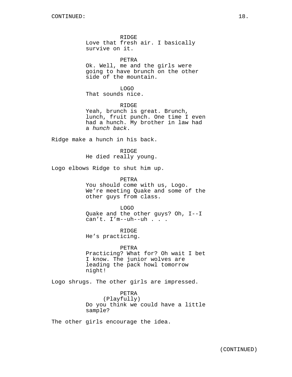RIDGE Love that fresh air. I basically survive on it.

PETRA Ok. Well, me and the girls were going to have brunch on the other side of the mountain.

LOGO That sounds nice.

RIDGE Yeah, brunch is great. Brunch, lunch, fruit punch. One time I even had a hunch. My brother in law had a hunch back.

Ridge make a hunch in his back.

R TDGE He died really young.

Logo elbows Ridge to shut him up.

PETRA You should come with us, Logo. We're meeting Quake and some of the other guys from class.

LOGO Quake and the other guys? Oh, I--I can't. I'm--uh--uh . . .

RIDGE He's practicing.

PETRA Practicing? What for? Oh wait I bet I know. The junior wolves are leading the pack howl tomorrow night!

Logo shrugs. The other girls are impressed.

PETRA (Playfully) Do you think we could have a little sample?

The other girls encourage the idea.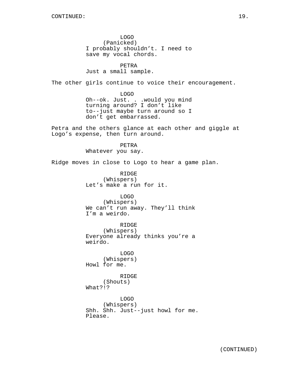LOGO (Panicked) I probably shouldn't. I need to save my vocal chords.

PETRA Just a small sample.

The other girls continue to voice their encouragement.

LOGO Oh--ok. Just. . .would you mind turning around? I don't like to--just maybe turn around so I don't get embarrassed.

Petra and the others glance at each other and giggle at Logo's expense, then turn around.

> PETRA Whatever you say.

Ridge moves in close to Logo to hear a game plan.

RIDGE (Whispers) Let's make a run for it.

LOGO (Whispers) We can't run away. They'll think I'm a weirdo.

RIDGE (Whispers) Everyone already thinks you're a weirdo.

LOGO (Whispers) Howl for me.

RIDGE (Shouts) What?!?

LOGO (Whispers) Shh. Shh. Just--just howl for me. Please.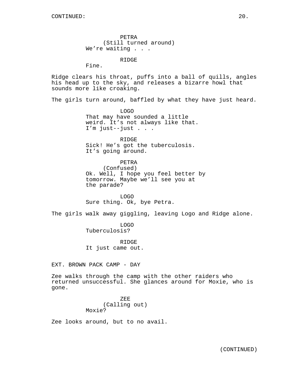PETRA (Still turned around) We're waiting . . .

RIDGE

Fine.

Ridge clears his throat, puffs into a ball of quills, angles his head up to the sky, and releases a bizarre howl that sounds more like croaking.

The girls turn around, baffled by what they have just heard.

LOGO That may have sounded a little weird. It's not always like that. I'm just--just . . .

RIDGE Sick! He's got the tuberculosis. It's going around.

PETRA

(Confused) Ok. Well, I hope you feel better by tomorrow. Maybe we'll see you at the parade?

LOGO Sure thing. Ok, bye Petra.

The girls walk away giggling, leaving Logo and Ridge alone.

LOGO Tuberculosis?

RIDGE It just came out.

EXT. BROWN PACK CAMP - DAY

Zee walks through the camp with the other raiders who returned unsuccessful. She glances around for Moxie, who is gone.

> ZEE (Calling out) Moxie?

Zee looks around, but to no avail.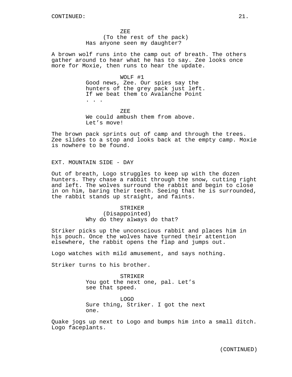ZEE (To the rest of the pack) Has anyone seen my daughter?

A brown wolf runs into the camp out of breath. The others gather around to hear what he has to say. Zee looks once more for Moxie, then runs to hear the update.

# WOLF #1

Good news, Zee. Our spies say the hunters of the grey pack just left. If we beat them to Avalanche Point . . .

ZEE We could ambush them from above. Let's move!

The brown pack sprints out of camp and through the trees. Zee slides to a stop and looks back at the empty camp. Moxie is nowhere to be found.

EXT. MOUNTAIN SIDE - DAY

Out of breath, Logo struggles to keep up with the dozen hunters. They chase a rabbit through the snow, cutting right and left. The wolves surround the rabbit and begin to close in on him, baring their teeth. Seeing that he is surrounded, the rabbit stands up straight, and faints.

> STRIKER (Disappointed) Why do they always do that?

Striker picks up the unconscious rabbit and places him in his pouch. Once the wolves have turned their attention elsewhere, the rabbit opens the flap and jumps out.

Logo watches with mild amusement, and says nothing.

Striker turns to his brother.

STRIKER You got the next one, pal. Let's see that speed.

LOGO Sure thing, Striker. I got the next one.

Quake jogs up next to Logo and bumps him into a small ditch. Logo faceplants.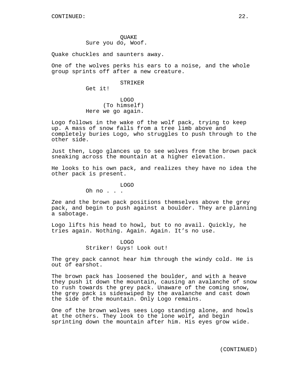**OUAKE** Sure you do, Woof.

Quake chuckles and saunters away.

One of the wolves perks his ears to a noise, and the whole group sprints off after a new creature.

#### STRIKER

Get it!

LOGO (To himself) Here we go again.

Logo follows in the wake of the wolf pack, trying to keep up. A mass of snow falls from a tree limb above and completely buries Logo, who struggles to push through to the other side.

Just then, Logo glances up to see wolves from the brown pack sneaking across the mountain at a higher elevation.

He looks to his own pack, and realizes they have no idea the other pack is present.

LOGO

Oh no . . .

Zee and the brown pack positions themselves above the grey pack, and begin to push against a boulder. They are planning a sabotage.

Logo lifts his head to howl, but to no avail. Quickly, he tries again. Nothing. Again. Again. It's no use.

> LOGO Striker! Guys! Look out!

The grey pack cannot hear him through the windy cold. He is out of earshot.

The brown pack has loosened the boulder, and with a heave they push it down the mountain, causing an avalanche of snow to rush towards the grey pack. Unaware of the coming snow, the grey pack is sideswiped by the avalanche and cast down the side of the mountain. Only Logo remains.

One of the brown wolves sees Logo standing alone, and howls at the others. They look to the lone wolf, and begin sprinting down the mountain after him. His eyes grow wide.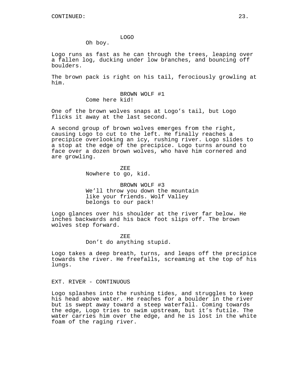### LOGO

Oh boy.

Logo runs as fast as he can through the trees, leaping over a fallen log, ducking under low branches, and bouncing off boulders.

The brown pack is right on his tail, ferociously growling at him.

> BROWN WOLF #1 Come here kid!

One of the brown wolves snaps at Logo's tail, but Logo flicks it away at the last second.

A second group of brown wolves emerges from the right, causing Logo to cut to the left. He finally reaches a precipice overlooking an icy, rushing river. Logo slides to a stop at the edge of the precipice. Logo turns around to face over a dozen brown wolves, who have him cornered and are growling.

> ZEE Nowhere to go, kid.

BROWN WOLF #3 We'll throw you down the mountain like your friends. Wolf Valley belongs to our pack!

Logo glances over his shoulder at the river far below. He inches backwards and his back foot slips off. The brown wolves step forward.

> ZEE Don't do anything stupid.

Logo takes a deep breath, turns, and leaps off the precipice towards the river. He freefalls, screaming at the top of his lungs.

EXT. RIVER - CONTINUOUS

Logo splashes into the rushing tides, and struggles to keep his head above water. He reaches for a boulder in the river but is swept away toward a steep waterfall. Coming towards the edge, Logo tries to swim upstream, but it's futile. The water carries him over the edge, and he is lost in the white foam of the raging river.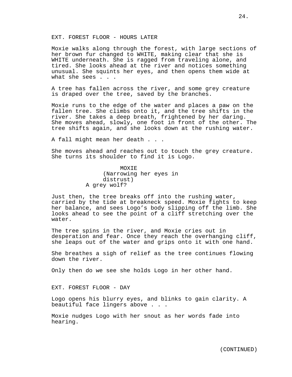### EXT. FOREST FLOOR - HOURS LATER

Moxie walks along through the forest, with large sections of her brown fur changed to WHITE, making clear that she is WHITE underneath. She is ragged from traveling alone, and tired. She looks ahead at the river and notices something unusual. She squints her eyes, and then opens them wide at what she sees . . .

A tree has fallen across the river, and some grey creature is draped over the tree, saved by the branches.

Moxie runs to the edge of the water and places a paw on the fallen tree. She climbs onto it, and the tree shifts in the river. She takes a deep breath, frightened by her daring. She moves ahead, slowly, one foot in front of the other. The tree shifts again, and she looks down at the rushing water.

A fall might mean her death . . .

She moves ahead and reaches out to touch the grey creature. She turns its shoulder to find it is Logo.

> MOXIE (Narrowing her eyes in distrust) A grey wolf?

Just then, the tree breaks off into the rushing water, carried by the tide at breakneck speed. Moxie fights to keep her balance, and sees Logo's body slipping off the limb. She looks ahead to see the point of a cliff stretching over the water.

The tree spins in the river, and Moxie cries out in desperation and fear. Once they reach the overhanging cliff, she leaps out of the water and grips onto it with one hand.

She breathes a sigh of relief as the tree continues flowing down the river.

Only then do we see she holds Logo in her other hand.

EXT. FOREST FLOOR - DAY

Logo opens his blurry eyes, and blinks to gain clarity. A beautiful face lingers above . . .

Moxie nudges Logo with her snout as her words fade into hearing.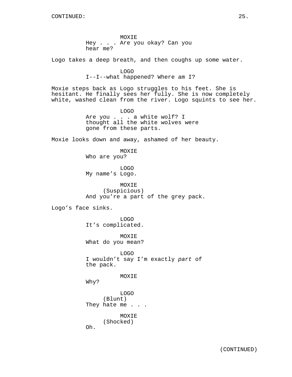MOXIE Hey . . . Are you okay? Can you hear me?

Logo takes a deep breath, and then coughs up some water.

LOGO I--I--what happened? Where am I?

Moxie steps back as Logo struggles to his feet. She is hesitant. He finally sees her fully. She is now completely white, washed clean from the river. Logo squints to see her.

> LOGO Are you . . . a white wolf? I thought all the white wolves were gone from these parts.

Moxie looks down and away, ashamed of her beauty.

MOXIE

Who are you?

LOGO My name's Logo.

MOXIE (Suspicious) And you're a part of the grey pack.

Logo's face sinks.

LOGO It's complicated.

MOXIE What do you mean?

LOGO I wouldn't say I'm exactly part of the pack.

MOXIE

Why?

LOGO (Blunt) They hate me . . .

MOXIE (Shocked)

Oh.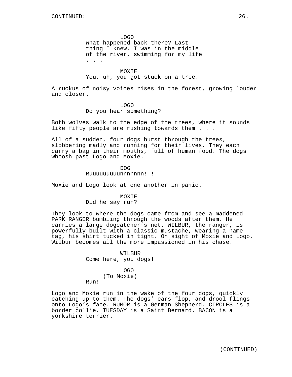LOGO

What happened back there? Last thing I knew, I was in the middle of the river, swimming for my life . . .

MOXIE

You, uh, you got stuck on a tree.

A ruckus of noisy voices rises in the forest, growing louder and closer.

### LOGO

Do you hear something?

Both wolves walk to the edge of the trees, where it sounds like fifty people are rushing towards them . . .

All of a sudden, four dogs burst through the trees, slobbering madly and running for their lives. They each carry a bag in their mouths, full of human food. The dogs whoosh past Logo and Moxie.

> DOG Ruuuuuuuuunnnnnnn!!!

Moxie and Logo look at one another in panic.

# MOXIE Did he say run?

They look to where the dogs came from and see a maddened PARK RANGER bumbling through the woods after them. He carries a large dogcatcher's net. WILBUR, the ranger, is powerfully built with a classic mustache, wearing a name tag, his shirt tucked in tight. On sight of Moxie and Logo, Wilbur becomes all the more impassioned in his chase.

> WILBUR Come here, you dogs!

### LOGO

(To Moxie)

Run!

Logo and Moxie run in the wake of the four dogs, quickly catching up to them. The dogs' ears flop, and drool flings onto Logo's face. RUMOR is a German Shepherd. CIRCLES is a border collie. TUESDAY is a Saint Bernard. BACON is a yorkshire terrier.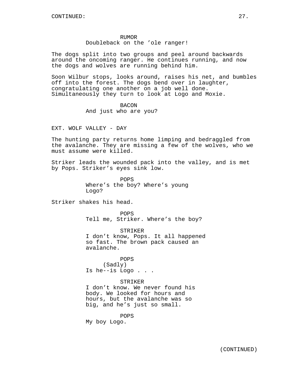#### RUMOR

## Doubleback on the 'ole ranger!

The dogs split into two groups and peel around backwards around the oncoming ranger. He continues running, and now the dogs and wolves are running behind him.

Soon Wilbur stops, looks around, raises his net, and bumbles off into the forest. The dogs bend over in laughter, congratulating one another on a job well done. Simultaneously they turn to look at Logo and Moxie.

## BACON

And just who are you?

## EXT. WOLF VALLEY - DAY

The hunting party returns home limping and bedraggled from the avalanche. They are missing a few of the wolves, who we must assume were killed.

Striker leads the wounded pack into the valley, and is met by Pops. Striker's eyes sink low.

> POPS Where's the boy? Where's young Logo?

Striker shakes his head.

POPS Tell me, Striker. Where's the boy?

STRIKER I don't know, Pops. It all happened so fast. The brown pack caused an avalanche.

POPS (Sadly) Is he--is Logo . . .

# STRIKER

I don't know. We never found his body. We looked for hours and hours, but the avalanche was so big, and he's just so small.

POPS My boy Logo.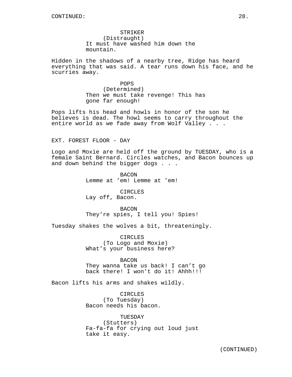STRIKER (Distraught) It must have washed him down the mountain.

Hidden in the shadows of a nearby tree, Ridge has heard everything that was said. A tear runs down his face, and he scurries away.

> POPS (Determined) Then we must take revenge! This has gone far enough!

Pops lifts his head and howls in honor of the son he believes is dead. The howl seems to carry throughout the entire world as we fade away from Wolf Valley . . .

EXT. FOREST FLOOR - DAY

Logo and Moxie are held off the ground by TUESDAY, who is a female Saint Bernard. Circles watches, and Bacon bounces up and down behind the bigger dogs . . .

> BACON Lemme at 'em! Lemme at 'em!

CIRCLES Lay off, Bacon.

BACON They're spies, I tell you! Spies!

Tuesday shakes the wolves a bit, threateningly.

CIRCLES (To Logo and Moxie) What's your business here?

BACON They wanna take us back! I can't go back there! I won't do it! Ahhh!!!

Bacon lifts his arms and shakes wildly.

CIRCLES (To Tuesday) Bacon needs his bacon.

TUESDAY (Stutters) Fa-fa-fa for crying out loud just take it easy.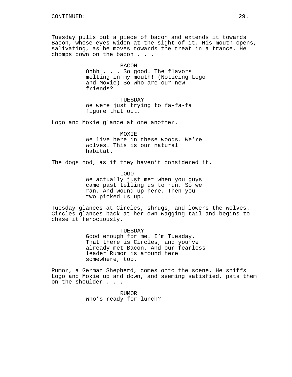Tuesday pulls out a piece of bacon and extends it towards Bacon, whose eyes widen at the sight of it. His mouth opens, salivating, as he moves towards the treat in a trance. He chomps down on the bacon . . .

> BACON Ohhh . . . So good. The flavors melting in my mouth! (Noticing Logo and Moxie) So who are our new friends?

TUESDAY We were just trying to fa-fa-fa figure that out.

Logo and Moxie glance at one another.

MOXIE We live here in these woods. We're wolves. This is our natural habitat.

The dogs nod, as if they haven't considered it.

LOGO We actually just met when you guys came past telling us to run. So we ran. And wound up here. Then you two picked us up.

Tuesday glances at Circles, shrugs, and lowers the wolves. Circles glances back at her own wagging tail and begins to chase it ferociously.

> TUESDAY Good enough for me. I'm Tuesday. That there is Circles, and you've already met Bacon. And our fearless leader Rumor is around here somewhere, too.

Rumor, a German Shepherd, comes onto the scene. He sniffs Logo and Moxie up and down, and seeming satisfied, pats them on the shoulder . . .

> RUMOR Who's ready for lunch?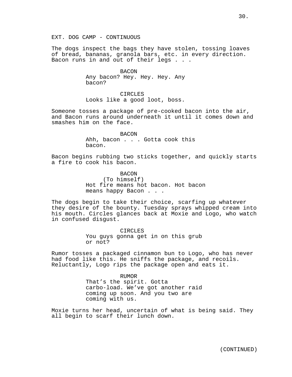EXT. DOG CAMP - CONTINUOUS

The dogs inspect the bags they have stolen, tossing loaves of bread, bananas, granola bars, etc. in every direction. Bacon runs in and out of their legs . . .

> BACON Any bacon? Hey. Hey. Hey. Any bacon?

> CIRCLES Looks like a good loot, boss.

Someone tosses a package of pre-cooked bacon into the air, and Bacon runs around underneath it until it comes down and smashes him on the face.

> BACON Ahh, bacon . . . Gotta cook this bacon.

Bacon begins rubbing two sticks together, and quickly starts a fire to cook his bacon.

> **BACON** (To himself) Hot fire means hot bacon. Hot bacon means happy Bacon . . .

The dogs begin to take their choice, scarfing up whatever they desire of the bounty. Tuesday sprays whipped cream into his mouth. Circles glances back at Moxie and Logo, who watch in confused disgust.

> CIRCLES You guys gonna get in on this grub or not?

Rumor tosses a packaged cinnamon bun to Logo, who has never had food like this. He sniffs the package, and recoils. Reluctantly, Logo rips the package open and eats it.

> RUMOR That's the spirit. Gotta carbo-load. We've got another raid coming up soon. And you two are coming with us.

Moxie turns her head, uncertain of what is being said. They all begin to scarf their lunch down.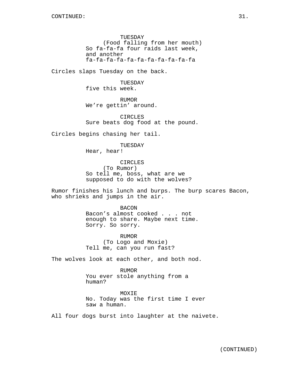TUESDAY (Food falling from her mouth) So fa-fa-fa four raids last week, and another fa-fa-fa-fa-fa-fa-fa-fa-fa-fa-fa

Circles slaps Tuesday on the back.

TUESDAY five this week.

RUMOR We're gettin' around.

CIRCLES Sure beats dog food at the pound.

Circles begins chasing her tail.

TUESDAY

Hear, hear!

CIRCLES (To Rumor) So tell me, boss, what are we supposed to do with the wolves?

Rumor finishes his lunch and burps. The burp scares Bacon, who shrieks and jumps in the air.

> **BACON** Bacon's almost cooked . . . not enough to share. Maybe next time. Sorry. So sorry.

RUMOR (To Logo and Moxie) Tell me, can you run fast?

The wolves look at each other, and both nod.

RUMOR You ever stole anything from a human?

MOXIE No. Today was the first time I ever saw a human.

All four dogs burst into laughter at the naivete.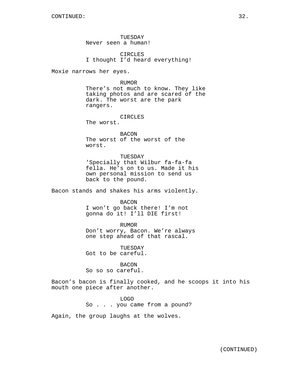TUESDAY Never seen a human!

CIRCLES I thought I'd heard everything!

Moxie narrows her eyes.

#### RUMOR

There's not much to know. They like taking photos and are scared of the dark. The worst are the park rangers.

CIRCLES

The worst.

BACON The worst of the worst of the worst.

## TUESDAY

'Specially that Wilbur fa-fa-fa fella. He's on to us. Made it his own personal mission to send us back to the pound.

Bacon stands and shakes his arms violently.

BACON

I won't go back there! I'm not gonna do it! I'll DIE first!

RUMOR

Don't worry, Bacon. We're always one step ahead of that rascal.

**TUESDAY** Got to be careful.

BACON So so so careful.

Bacon's bacon is finally cooked, and he scoops it into his mouth one piece after another.

> LOGO So . . . you came from a pound?

Again, the group laughs at the wolves.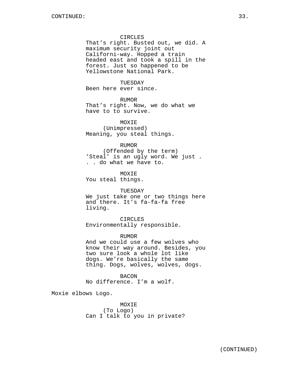## CIRCLES

That's right. Busted out, we did. A maximum security joint out Californi-way. Hopped a train headed east and took a spill in the forest. Just so happened to be Yellowstone National Park.

### TUESDAY

Been here ever since.

## RUMOR

That's right. Now, we do what we have to to survive.

MOXIE (Unimpressed) Meaning, you steal things.

## RUMOR

(Offended by the term) 'Steal' is an ugly word. We just . . . do what we have to.

**MOXTE** 

You steal things.

### TUESDAY

We just take one or two things here and there. It's fa-fa-fa free living.

CIRCLES Environmentally responsible.

RUMOR

And we could use a few wolves who know their way around. Besides, you two sure look a whole lot like dogs. We're basically the same thing. Dogs, wolves, wolves, dogs.

BACON No difference. I'm a wolf.

Moxie elbows Logo.

MOXIE (To Logo) Can I talk to you in private?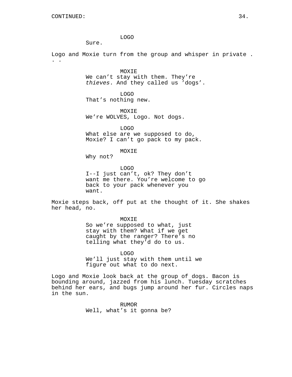LOGO

Sure.

Logo and Moxie turn from the group and whisper in private . . .

> MOXIE We can't stay with them. They're thieves. And they called us 'dogs'.

LOGO That's nothing new.

MOXIE We're WOLVES, Logo. Not dogs.

LOGO What else are we supposed to do, Moxie? I can't go pack to my pack.

MOXIE

Why not?

LOGO I--I just can't, ok? They don't want me there. You're welcome to go back to your pack whenever you want.

Moxie steps back, off put at the thought of it. She shakes her head, no.

> MOXIE So we're supposed to what, just stay with them? What if we get caught by the ranger? There's no telling what they'd do to us.

LOGO We'll just stay with them until we figure out what to do next.

Logo and Moxie look back at the group of dogs. Bacon is bounding around, jazzed from his lunch. Tuesday scratches behind her ears, and bugs jump around her fur. Circles naps in the sun.

> RUMOR Well, what's it gonna be?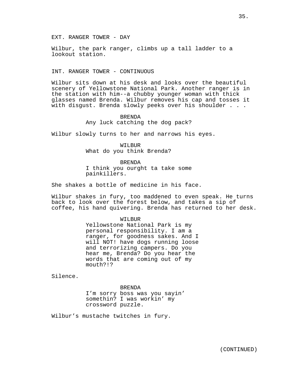EXT. RANGER TOWER - DAY

Wilbur, the park ranger, climbs up a tall ladder to a lookout station.

INT. RANGER TOWER - CONTINUOUS

Wilbur sits down at his desk and looks over the beautiful scenery of Yellowstone National Park. Another ranger is in the station with him--a chubby younger woman with thick glasses named Brenda. Wilbur removes his cap and tosses it with disgust. Brenda slowly peeks over his shoulder . . .

### BRENDA

Any luck catching the dog pack?

Wilbur slowly turns to her and narrows his eyes.

WILBUR What do you think Brenda?

**BRENDA** 

I think you ourght ta take some painkillers.

She shakes a bottle of medicine in his face.

Wilbur shakes in fury, too maddened to even speak. He turns back to look over the forest below, and takes a sip of coffee, his hand quivering. Brenda has returned to her desk.

#### WILBUR

Yellowstone National Park is my personal responsibility. I am a ranger, for goodness sakes. And I will NOT! have dogs running loose and terrorizing campers. Do you hear me, Brenda? Do you hear the words that are coming out of my mouth?!?

Silence.

BRENDA

I'm sorry boss was you sayin' somethin? I was workin' my crossword puzzle.

Wilbur's mustache twitches in fury.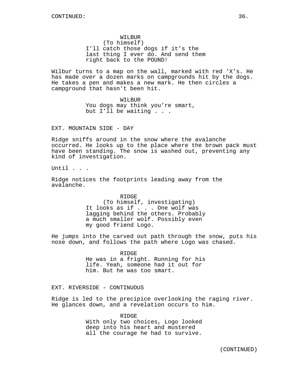WILBUR (To himself) I'll catch those dogs if it's the last thing I ever do. And send them right back to the POUND!

Wilbur turns to a map on the wall, marked with red 'X's. He has made over a dozen marks on campgrounds hit by the dogs. He takes a pen and makes a new mark. He then circles a campground that hasn't been hit.

> WILBUR You dogs may think you're smart, but I'll be waiting . . .

EXT. MOUNTAIN SIDE - DAY

Ridge sniffs around in the snow where the avalanche occurred. He looks up to the place where the brown pack must have been standing. The snow is washed out, preventing any kind of investigation.

Until . . .

Ridge notices the footprints leading away from the avalanche.

> RIDGE (To himself, investigating) It looks as if . . . One wolf was lagging behind the others. Probably a much smaller wolf. Possibly even my good friend Logo.

He jumps into the carved out path through the snow, puts his nose down, and follows the path where Logo was chased.

> RIDGE He was in a fright. Running for his life. Yeah, someone had it out for him. But he was too smart.

## EXT. RIVERSIDE - CONTINUOUS

Ridge is led to the precipice overlooking the raging river. He glances down, and a revelation occurs to him.

> RIDGE With only two choices, Logo looked deep into his heart and mustered all the courage he had to survive.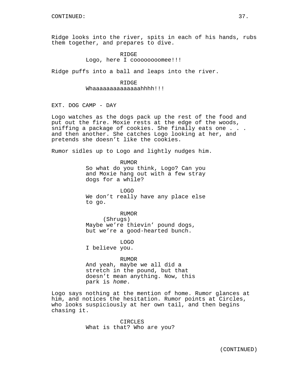Ridge looks into the river, spits in each of his hands, rubs them together, and prepares to dive.

> RIDGE Logo, here I coooooooomee!!!

Ridge puffs into a ball and leaps into the river.

### RIDGE

Whaaaaaaaaaaaaaahhhh!!!

EXT. DOG CAMP - DAY

Logo watches as the dogs pack up the rest of the food and put out the fire. Moxie rests at the edge of the woods, sniffing a package of cookies. She finally eats one . . . and then another. She catches Logo looking at her, and pretends she doesn't like the cookies.

Rumor sidles up to Logo and lightly nudges him.

RUMOR So what do you think, Logo? Can you and Moxie hang out with a few stray dogs for a while?

LOGO We don't really have any place else to go.

RUMOR

(Shrugs) Maybe we're thievin' pound dogs, but we're a good-hearted bunch.

LOGO

I believe you.

#### RUMOR

And yeah, maybe we all did a stretch in the pound, but that doesn't mean anything. Now, this park is home.

Logo says nothing at the mention of home. Rumor glances at him, and notices the hesitation. Rumor points at Circles, who looks suspiciously at her own tail, and then begins chasing it.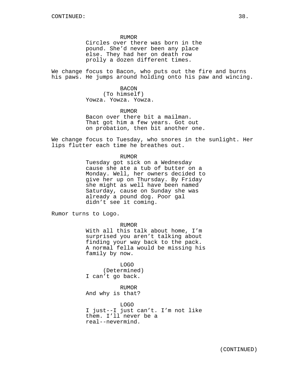RUMOR

Circles over there was born in the pound. She'd never been any place else. They had her on death row prolly a dozen different times.

We change focus to Bacon, who puts out the fire and burns his paws. He jumps around holding onto his paw and wincing.

> BACON (To himself) Yowza. Yowza. Yowza.

RUMOR Bacon over there bit a mailman. That got him a few years. Got out on probation, then bit another one.

We change focus to Tuesday, who snores in the sunlight. Her lips flutter each time he breathes out.

RUMOR

Tuesday got sick on a Wednesday cause she ate a tub of butter on a Monday. Well, her owners decided to give her up on Thursday. By Friday she might as well have been named Saturday, cause on Sunday she was already a pound dog. Poor gal didn't see it coming.

Rumor turns to Logo.

RUMOR

With all this talk about home, I'm surprised you aren't talking about finding your way back to the pack. A normal fella would be missing his family by now.

LOGO (Determined) I can't go back.

RUMOR And why is that?

LOGO I just--I just can't. I'm not like them. I'll never be a real--nevermind.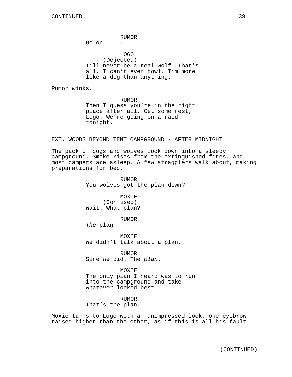RUMOR Go on . . . LOGO (Dejected) I'll never be a real wolf. That's all. I can't even howl. I'm more like a dog than anything.

Rumor winks.

RUMOR

Then I guess you're in the right place after all. Get some rest, Logo. We're going on a raid tonight.

EXT. WOODS BEYOND TENT CAMPGROUND - AFTER MIDNIGHT

The pack of dogs and wolves look down into a sleepy campground. Smoke rises from the extinguished fires, and most campers are asleep. A few stragglers walk about, making preparations for bed.

> RUMOR You wolves got the plan down?

MOXIE (Confused) Wait. What plan?

RUMOR

The plan.

MOXIE We didn't talk about a plan.

RUMOR Sure we did. The plan.

MOXIE The only plan I heard was to run into the campground and take whatever looked best.

RUMOR That's the plan.

Moxie turns to Logo with an unimpressed look, one eyebrow raised higher than the other, as if this is all his fault.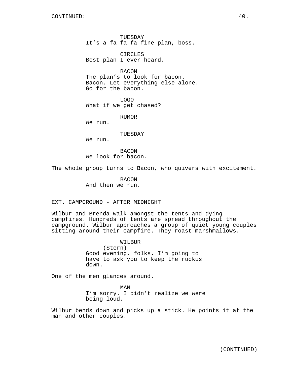TUESDAY It's a fa-fa-fa fine plan, boss.

CIRCLES Best plan I ever heard.

BACON The plan's to look for bacon. Bacon. Let everything else alone.

Go for the bacon.

LOGO

What if we get chased?

RUMOR

We run.

TUESDAY

We run.

**BACON** We look for bacon.

The whole group turns to Bacon, who quivers with excitement.

BACON And then we run.

EXT. CAMPGROUND - AFTER MIDNIGHT

Wilbur and Brenda walk amongst the tents and dying campfires. Hundreds of tents are spread throughout the campground. Wilbur approaches a group of quiet young couples sitting around their campfire. They roast marshmallows.

> WILBUR (Stern) Good evening, folks. I'm going to have to ask you to keep the ruckus down.

One of the men glances around.

MAN I'm sorry. I didn't realize we were being loud.

Wilbur bends down and picks up a stick. He points it at the man and other couples.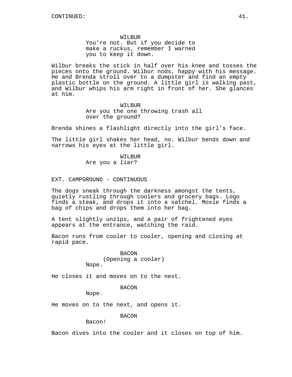WILBUR You're not. But if you decide to make a ruckus, remember I warned you to keep it down.

Wilbur breaks the stick in half over his knee and tosses the pieces onto the ground. Wilbur nods, happy with his message. He and Brenda stroll over to a dumpster and find an empty plastic bottle on the ground. A little girl is walking past, and Wilbur whips his arm right in front of her. She glances at him.

> WILBUR Are you the one throwing trash all over the ground?

Brenda shines a flashlight directly into the girl's face.

The little girl shakes her head, no. Wilbur bends down and narrows his eyes at the little girl.

> WILBUR Are you a liar?

EXT. CAMPGROUND - CONTINUOUS

The dogs sneak through the darkness amongst the tents, quietly rustling through coolers and grocery bags. Logo finds a steak, and drops it into a satchel. Moxie finds a bag of chips and drops them into her bag.

A tent slightly unzips, and a pair of frightened eyes appears at the entrance, watching the raid.

Bacon runs from cooler to cooler, opening and closing at rapid pace.

> BACON (Opening a cooler) Nope.

He closes it and moves on to the next.

BACON

Nope.

He moves on to the next, and opens it.

BACON

Bacon!

Bacon dives into the cooler and it closes on top of him.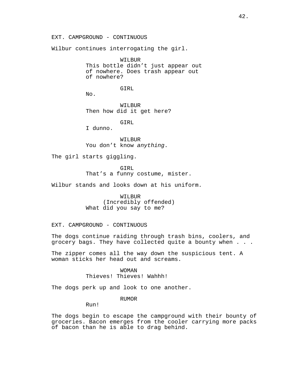EXT. CAMPGROUND - CONTINUOUS

Wilbur continues interrogating the girl.

WILBUR This bottle didn't just appear out of nowhere. Does trash appear out of nowhere?

GIRL

No.

WILBUR Then how did it get here?

GIRL

I dunno.

WILBUR You don't know anything.

The girl starts giggling.

GIRL That's a funny costume, mister.

Wilbur stands and looks down at his uniform.

WILBUR (Incredibly offended) What did you say to me?

EXT. CAMPGROUND - CONTINUOUS

The dogs continue raiding through trash bins, coolers, and grocery bags. They have collected quite a bounty when . . .

The zipper comes all the way down the suspicious tent. A woman sticks her head out and screams.

> WOMAN Thieves! Thieves! Wahhh!

The dogs perk up and look to one another.

RUMOR

Run!

The dogs begin to escape the campground with their bounty of groceries. Bacon emerges from the cooler carrying more packs of bacon than he is able to drag behind.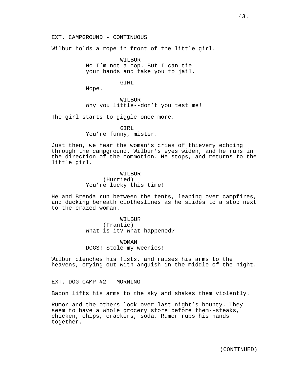Wilbur holds a rope in front of the little girl.

WILBUR No I'm not a cop. But I can tie your hands and take you to jail.

GIRL

Nope.

WILBUR Why you little--don't you test me!

The girl starts to giggle once more.

#### GIRL

You're funny, mister.

Just then, we hear the woman's cries of thievery echoing through the campground. Wilbur's eyes widen, and he runs in the direction of the commotion. He stops, and returns to the little girl.

> WILBUR (Hurried) You're lucky this time!

He and Brenda run between the tents, leaping over campfires, and ducking beneath clotheslines as he slides to a stop next to the crazed woman.

> WILBUR (Frantic) What is it? What happened?

WOMAN DOGS! Stole my weenies!

Wilbur clenches his fists, and raises his arms to the heavens, crying out with anguish in the middle of the night.

EXT. DOG CAMP #2 - MORNING

Bacon lifts his arms to the sky and shakes them violently.

Rumor and the others look over last night's bounty. They seem to have a whole grocery store before them--steaks, chicken, chips, crackers, soda. Rumor rubs his hands together.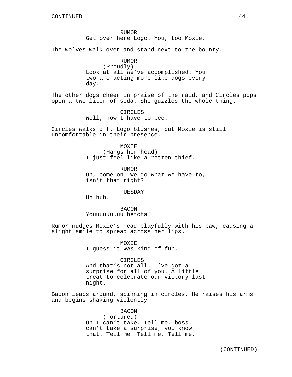RUMOR Get over here Logo. You, too Moxie.

The wolves walk over and stand next to the bounty.

RUMOR (Proudly) Look at all we've accomplished. You two are acting more like dogs every day.

The other dogs cheer in praise of the raid, and Circles pops open a two liter of soda. She guzzles the whole thing.

> CIRCLES Well, now I have to pee.

Circles walks off. Logo blushes, but Moxie is still uncomfortable in their presence.

> MOXIE (Hangs her head) I just feel like a rotten thief.

RUMOR Oh, come on! We do what we have to, isn't that right?

TUESDAY

Uh huh.

**BACON** Youuuuuuuuu betcha!

Rumor nudges Moxie's head playfully with his paw, causing a slight smile to spread across her lips.

> **MOXTE** I guess it was kind of fun.

CIRCLES And that's not all. I've got a surprise for all of you. A little treat to celebrate our victory last night.

Bacon leaps around, spinning in circles. He raises his arms and begins shaking violently.

> BACON (Tortured) Oh I can't take. Tell me, boss. I can't take a surprise, you know that. Tell me. Tell me. Tell me.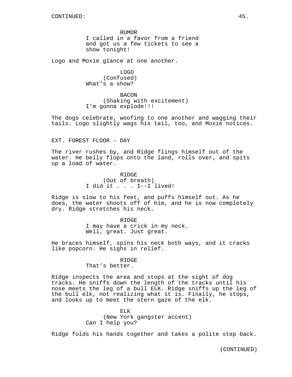RUMOR I called in a favor from a friend and got us a few tickets to see a show tonight!

Logo and Moxie glance at one another.

LOGO (Confused) What's a show?

BACON (Shaking with excitement) I'm gonna explode!!!

The dogs celebrate, woofing to one another and wagging their tails. Logo slightly wags his tail, too, and Moxie notices.

EXT. FOREST FLOOR - DAY

The river rushes by, and Ridge flings himself out of the water. He belly flops onto the land, rolls over, and spits up a load of water.

> RIDGE (Out of breath) I did it . . . I--I lived!

Ridge is slow to his feet, and puffs himself out. As he does, the water shoots off of him, and he is now completely dry. Ridge stretches his neck.

> RIDGE I may have a crick in my neck. Well, great. Just great.

He braces himself, spins his neck both ways, and it cracks like popcorn. He sighs in relief.

#### RIDGE

That's better.

Ridge inspects the area and stops at the sight of dog tracks. He sniffs down the length of the tracks until his nose meets the leg of a bull ELK. Ridge sniffs up the leg of the bull elk, not realizing what it is. Finally, he stops, and looks up to meet the stern gaze of the elk.

> ELK (New York gangster accent) Can I help you?

Ridge folds his hands together and takes a polite step back.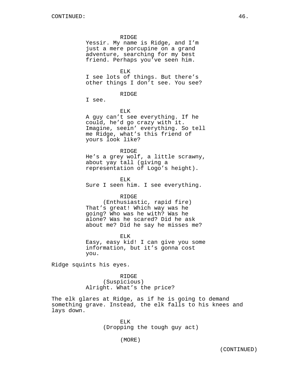#### RIDGE

Yessir. My name is Ridge, and I'm just a mere porcupine on a grand adventure, searching for my best friend. Perhaps you've seen him.

ELK

I see lots of things. But there's other things I don't see. You see?

RIDGE

I see.

ELK

A guy can't see everything. If he could, he'd go crazy with it. Imagine, seein' everything. So tell me Ridge, what's this friend of yours look like?

RIDGE He's a grey wolf, a little scrawny, about yay tall (giving a representation of Logo's height).

ELK Sure I seen him. I see everything.

### RIDGE

(Enthusiastic, rapid fire) That's great! Which way was he going? Who was he with? Was he alone? Was he scared? Did he ask about me? Did he say he misses me?

ELK Easy, easy kid! I can give you some information, but it's gonna cost you.

Ridge squints his eyes.

RIDGE (Suspicious) Alright. What's the price?

The elk glares at Ridge, as if he is going to demand something grave. Instead, the elk falls to his knees and lays down.

> ELK (Dropping the tough guy act)

> > (MORE)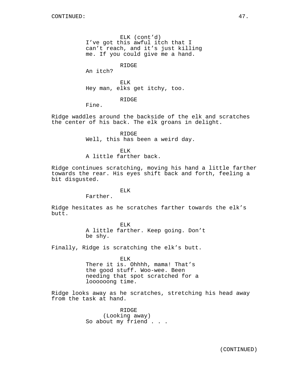ELK (cont'd) I've got this awful itch that I can't reach, and it's just killing me. If you could give me a hand.

RIDGE

An itch?

ELK Hey man, elks get itchy, too.

RIDGE

Fine.

Ridge waddles around the backside of the elk and scratches the center of his back. The elk groans in delight.

> RIDGE Well, this has been a weird day.

ELK A little farther back.

Ridge continues scratching, moving his hand a little farther towards the rear. His eyes shift back and forth, feeling a bit disgusted.

### ELK

Farther.

Ridge hesitates as he scratches farther towards the elk's butt.

> ELK A little farther. Keep going. Don't be shy.

Finally, Ridge is scratching the elk's butt.

ELK There it is. Ohhhh, mama! That's the good stuff. Woo-wee. Been needing that spot scratched for a loooooong time.

Ridge looks away as he scratches, stretching his head away from the task at hand.

> RIDGE (Looking away) So about my friend . . .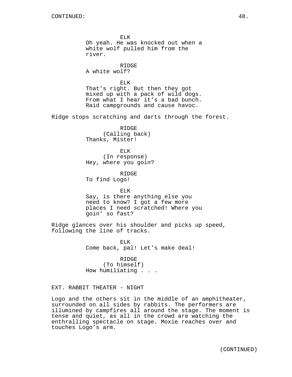ELK Oh yeah. He was knocked out when a white wolf pulled him from the river.

RIDGE A white wolf?

ELK That's right. But then they got mixed up with a pack of wild dogs. From what I hear it's a bad bunch. Raid campgrounds and cause havoc.

Ridge stops scratching and darts through the forest.

RIDGE (Calling back) Thanks, Mister!

ELK (In response) Hey, where you goin?

R TDGE To find Logo!

ELK Say, is there anything else you need to know? I got a few more places I need scratched! Where you goin' so fast?

Ridge glances over his shoulder and picks up speed, following the line of tracks.

> ELK Come back, pal! Let's make deal!

RIDGE (To himself) How humiliating . . .

EXT. RABBIT THEATER - NIGHT

Logo and the others sit in the middle of an amphitheater, surrounded on all sides by rabbits. The performers are illumined by campfires all around the stage. The moment is tense and quiet, as all in the crowd are watching the enthralling spectacle on stage. Moxie reaches over and touches Logo's arm.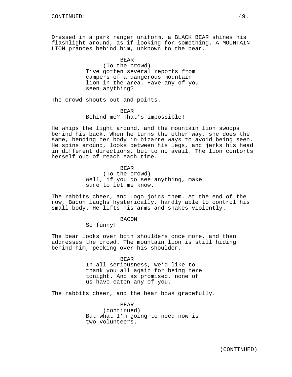Dressed in a park ranger uniform, a BLACK BEAR shines his flashlight around, as if looking for something. A MOUNTAIN LION prances behind him, unknown to the bear.

> BEAR (To the crowd) I've gotten several reports from campers of a dangerous mountain lion in the area. Have any of you seen anything?

The crowd shouts out and points.

## BEAR Behind me? That's impossible!

He whips the light around, and the mountain lion swoops behind his back. When he turns the other way, she does the same, bending her body in bizarre ways to avoid being seen. He spins around, looks between his legs, and jerks his head in different directions, but to no avail. The lion contorts herself out of reach each time.

> BEAR (To the crowd) Well, if you do see anything, make sure to let me know.

The rabbits cheer, and Logo joins them. At the end of the row, Bacon laughs hysterically, hardly able to control his small body. He lifts his arms and shakes violently.

BACON

So funny!

The bear looks over both shoulders once more, and then addresses the crowd. The mountain lion is still hiding behind him, peeking over his shoulder.

## BEAR

In all seriousness, we'd like to thank you all again for being here tonight. And as promised, none of us have eaten any of you.

The rabbits cheer, and the bear bows gracefully.

BEAR (continued) But what I'm going to need now is two volunteers.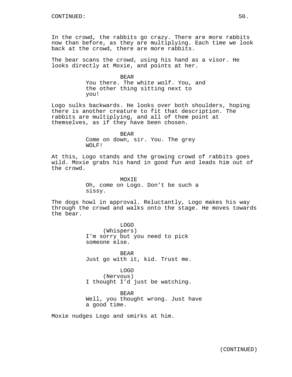In the crowd, the rabbits go crazy. There are more rabbits now than before, as they are multiplying. Each time we look back at the crowd, there are more rabbits.

The bear scans the crowd, using his hand as a visor. He looks directly at Moxie, and points at her.

> BEAR You there. The white wolf. You, and the other thing sitting next to you!

Logo sulks backwards. He looks over both shoulders, hoping there is another creature to fit that description. The rabbits are multiplying, and all of them point at themselves, as if they have been chosen.

> BEAR Come on down, sir. You. The grey WOLF!

At this, Logo stands and the growing crowd of rabbits goes wild. Moxie grabs his hand in good fun and leads him out of the crowd.

> **MOXTE** Oh, come on Logo. Don't be such a sissy.

The dogs howl in approval. Reluctantly, Logo makes his way through the crowd and walks onto the stage. He moves towards the bear.

> LOGO (Whispers) I'm sorry but you need to pick someone else.

BEAR Just go with it, kid. Trust me.

LOGO (Nervous) I thought I'd just be watching.

BEAR Well, you thought wrong. Just have a good time.

Moxie nudges Logo and smirks at him.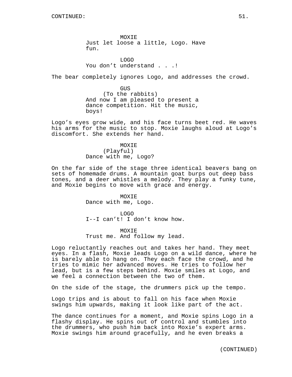MOXIE Just let loose a little, Logo. Have fun.

LOGO You don't understand . . .!

The bear completely ignores Logo, and addresses the crowd.

GUS (To the rabbits) And now I am pleased to present a dance competition. Hit the music, boys!

Logo's eyes grow wide, and his face turns beet red. He waves his arms for the music to stop. Moxie laughs aloud at Logo's discomfort. She extends her hand.

> **MOXTE** (Playful) Dance with me, Logo?

On the far side of the stage three identical beavers bang on sets of homemade drums. A mountain goat burps out deep bass tones, and a deer whistles a melody. They play a funky tune, and Moxie begins to move with grace and energy.

> MOXIE Dance with me, Logo.

LOGO I--I can't! I don't know how.

MOXIE Trust me. And follow my lead.

Logo reluctantly reaches out and takes her hand. They meet eyes. In a flash, Moxie leads Logo on a wild dance, where he is barely able to hang on. They each face the crowd, and he tries to mimic her advanced moves. He tries to follow her lead, but is a few steps behind. Moxie smiles at Logo, and we feel a connection between the two of them.

On the side of the stage, the drummers pick up the tempo.

Logo trips and is about to fall on his face when Moxie swings him upwards, making it look like part of the act.

The dance continues for a moment, and Moxie spins Logo in a flashy display. He spins out of control and stumbles into the drummers, who push him back into Moxie's expert arms. Moxie swings him around gracefully, and he even breaks a

(CONTINUED)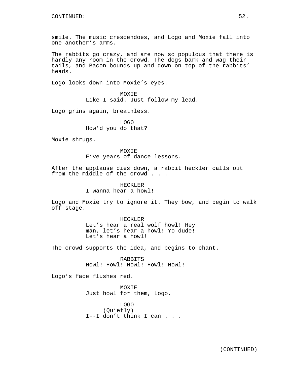smile. The music crescendoes, and Logo and Moxie fall into one another's arms.

The rabbits go crazy, and are now so populous that there is hardly any room in the crowd. The dogs bark and wag their tails, and Bacon bounds up and down on top of the rabbits' heads.

Logo looks down into Moxie's eyes.

MOXIE Like I said. Just follow my lead.

Logo grins again, breathless.

LOGO How'd you do that?

Moxie shrugs.

**MOXTE** Five years of dance lessons.

After the applause dies down, a rabbit heckler calls out from the middle of the crowd . . .

> HECKLER I wanna hear a howl!

Logo and Moxie try to ignore it. They bow, and begin to walk off stage.

> HECKLER Let's hear a real wolf howl! Hey man, let's hear a howl! Yo dude! Let's hear a howl!

The crowd supports the idea, and begins to chant.

RABBITS Howl! Howl! Howl! Howl! Howl!

Logo's face flushes red.

MOXIE Just howl for them, Logo.

LOGO (Quietly) I--I don't think I can . . .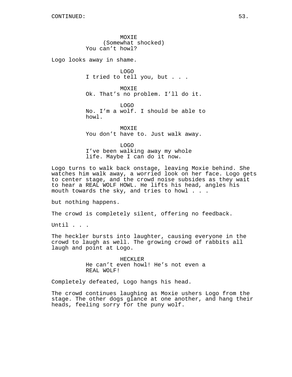MOXIE (Somewhat shocked) You can't howl?

Logo looks away in shame.

LOGO I tried to tell you, but . . .

MOXIE Ok. That's no problem. I'll do it.

LOGO No. I'm a wolf. I should be able to howl.

MOXIE You don't have to. Just walk away.

LOGO I've been walking away my whole life. Maybe I can do it now.

Logo turns to walk back onstage, leaving Moxie behind. She watches him walk away, a worried look on her face. Logo gets to center stage, and the crowd noise subsides as they wait to hear a REAL WOLF HOWL. He lifts his head, angles his mouth towards the sky, and tries to howl . . .

but nothing happens.

The crowd is completely silent, offering no feedback.

Until . . .

The heckler bursts into laughter, causing everyone in the crowd to laugh as well. The growing crowd of rabbits all laugh and point at Logo.

> HECKLER He can't even howl! He's not even a REAL WOLF!

Completely defeated, Logo hangs his head.

The crowd continues laughing as Moxie ushers Logo from the stage. The other dogs glance at one another, and hang their heads, feeling sorry for the puny wolf.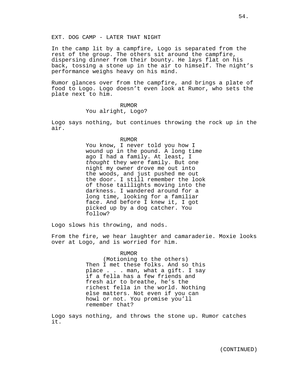EXT. DOG CAMP - LATER THAT NIGHT

In the camp lit by a campfire, Logo is separated from the rest of the group. The others sit around the campfire, dispersing dinner from their bounty. He lays flat on his back, tossing a stone up in the air to himself. The night's performance weighs heavy on his mind.

Rumor glances over from the campfire, and brings a plate of food to Logo. Logo doesn't even look at Rumor, who sets the plate next to him.

## RUMOR

# You alright, Logo?

Logo says nothing, but continues throwing the rock up in the air.

# RUMOR

You know, I never told you how I wound up in the pound. A long time ago I had a family. At least, I thought they were family. But one night my owner drove me out into the woods, and just pushed me out the door. I still remember the look of those taillights moving into the darkness. I wandered around for a long time, looking for a familiar face. And before I knew it, I got picked up by a dog catcher. You follow?

Logo slows his throwing, and nods.

From the fire, we hear laughter and camaraderie. Moxie looks over at Logo, and is worried for him.

## RUMOR

(Motioning to the others) Then I met these folks. And so this place . . . man, what a gift. I say if a fella has a few friends and fresh air to breathe, he's the richest fella in the world. Nothing else matters. Not even if you can howl or not. You promise you'll remember that?

Logo says nothing, and throws the stone up. Rumor catches it.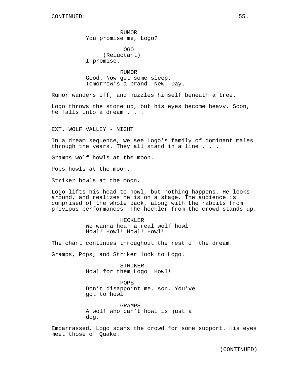RUMOR You promise me, Logo?

LOGO (Reluctant) I promise.

RUMOR Good. Now get some sleep. Tomorrow's a brand. New. Day.

Rumor wanders off, and nuzzles himself beneath a tree.

Logo throws the stone up, but his eyes become heavy. Soon, he falls into a dream . . .

EXT. WOLF VALLEY - NIGHT

In a dream sequence, we see Logo's family of dominant males through the years. They all stand in a line . . .

Gramps wolf howls at the moon.

Pops howls at the moon.

Striker howls at the moon.

Logo lifts his head to howl, but nothing happens. He looks around, and realizes he is on a stage. The audience is comprised of the whole pack, along with the rabbits from previous performances. The heckler from the crowd stands up.

> HECKLER We wanna hear a real wolf howl! Howl! Howl! Howl! Howl!

The chant continues throughout the rest of the dream.

Gramps, Pops, and Striker look to Logo.

STRIKER Howl for them Logo! Howl!

POPS Don't disappoint me, son. You've got to howl!

GRAMPS A wolf who can't howl is just a dog.

Embarrassed, Logo scans the crowd for some support. His eyes meet those of Quake.

(CONTINUED)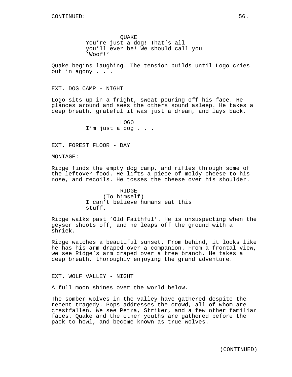**OUAKE** 

You're just a dog! That's all you'll ever be! We should call you 'Woof!'

Quake begins laughing. The tension builds until Logo cries out in agony . . .

EXT. DOG CAMP - NIGHT

Logo sits up in a fright, sweat pouring off his face. He glances around and sees the others sound asleep. He takes a deep breath, grateful it was just a dream, and lays back.

> LOGO I'm just a dog . . .

EXT. FOREST FLOOR - DAY

MONTAGE:

Ridge finds the empty dog camp, and rifles through some of the leftover food. He lifts a piece of moldy cheese to his nose, and recoils. He tosses the cheese over his shoulder.

> RIDGE (To himself) I can't believe humans eat this stuff.

Ridge walks past 'Old Faithful'. He is unsuspecting when the geyser shoots off, and he leaps off the ground with a shriek.

Ridge watches a beautiful sunset. From behind, it looks like he has his arm draped over a companion. From a frontal view, we see Ridge's arm draped over a tree branch. He takes a deep breath, thoroughly enjoying the grand adventure.

EXT. WOLF VALLEY - NIGHT

A full moon shines over the world below.

The somber wolves in the valley have gathered despite the recent tragedy. Pops addresses the crowd, all of whom are crestfallen. We see Petra, Striker, and a few other familiar faces. Quake and the other youths are gathered before the pack to howl, and become known as true wolves.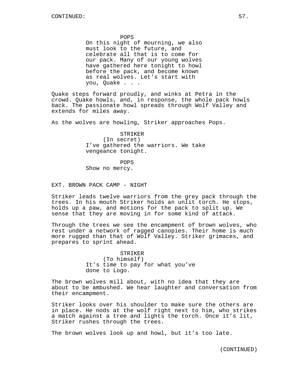POPS

On this night of mourning, we also must look to the future, and celebrate all that is to come for our pack. Many of our young wolves have gathered here tonight to howl before the pack, and become known as real wolves. Let's start with you, Quake . . .

Quake steps forward proudly, and winks at Petra in the crowd. Quake howls, and, in response, the whole pack howls back. The passionate howl spreads through Wolf Valley and extends for miles away.

As the wolves are howling, Striker approaches Pops.

STRIKER (In secret) I've gathered the warriors. We take vengeance tonight.

POPS

Show no mercy.

EXT. BROWN PACK CAMP - NIGHT

Striker leads twelve warriors from the grey pack through the trees. In his mouth Striker holds an unlit torch. He stops, holds up a paw, and motions for the pack to split up. We sense that they are moving in for some kind of attack.

Through the trees we see the encampment of brown wolves, who rest under a network of ragged canopies. Their home is much more rugged than that of Wolf Valley. Striker grimaces, and prepares to sprint ahead.

> STRIKER (To himself) It's time to pay for what you've done to Logo.

The brown wolves mill about, with no idea that they are about to be ambushed. We hear laughter and conversation from their encampment.

Striker looks over his shoulder to make sure the others are in place. He nods at the wolf right next to him, who strikes a match against a tree and lights the torch. Once it's lit, Striker rushes through the trees.

The brown wolves look up and howl, but it's too late.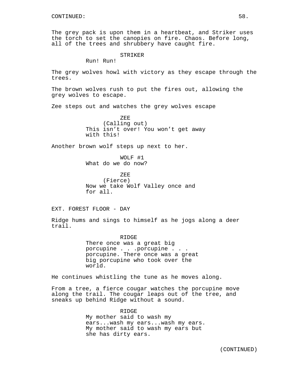The grey pack is upon them in a heartbeat, and Striker uses the torch to set the canopies on fire. Chaos. Before long, all of the trees and shrubbery have caught fire.

STRIKER

Run! Run!

The grey wolves howl with victory as they escape through the trees.

The brown wolves rush to put the fires out, allowing the grey wolves to escape.

Zee steps out and watches the grey wolves escape

ZEE (Calling out) This isn't over! You won't get away with this!

Another brown wolf steps up next to her.

WOLF #1 What do we do now?

ZEE (Fierce) Now we take Wolf Valley once and for all.

EXT. FOREST FLOOR - DAY

Ridge hums and sings to himself as he jogs along a deer trail.

> RIDGE There once was a great big porcupine . . .porcupine . . . porcupine. There once was a great big porcupine who took over the world.

He continues whistling the tune as he moves along.

From a tree, a fierce cougar watches the porcupine move along the trail. The cougar leaps out of the tree, and sneaks up behind Ridge without a sound.

> RIDGE My mother said to wash my ears...wash my ears...wash my ears. My mother said to wash my ears but she has dirty ears.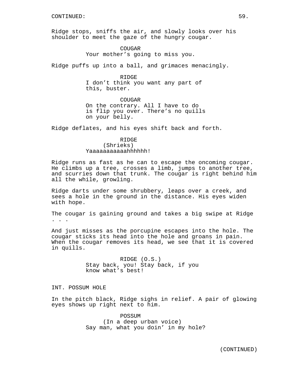Ridge stops, sniffs the air, and slowly looks over his shoulder to meet the gaze of the hungry cougar.

> COUGAR Your mother's going to miss you.

Ridge puffs up into a ball, and grimaces menacingly.

R TDGE I don't think you want any part of this, buster.

COUGAR On the contrary. All I have to do is flip you over. There's no quills on your belly.

Ridge deflates, and his eyes shift back and forth.

# RIDGE (Shrieks) Yaaaaaaaaaaahhhhhh!

Ridge runs as fast as he can to escape the oncoming cougar. He climbs up a tree, crosses a limb, jumps to another tree, and scurries down that trunk. The cougar is right behind him all the while, growling.

Ridge darts under some shrubbery, leaps over a creek, and sees a hole in the ground in the distance. His eyes widen with hope.

The cougar is gaining ground and takes a big swipe at Ridge . . .

And just misses as the porcupine escapes into the hole. The cougar sticks its head into the hole and groans in pain. When the cougar removes its head, we see that it is covered in quills.

> RIDGE (O.S.) Stay back, you! Stay back, if you know what's best!

## INT. POSSUM HOLE

In the pitch black, Ridge sighs in relief. A pair of glowing eyes shows up right next to him.

> POSSUM (In a deep urban voice) Say man, what you doin' in my hole?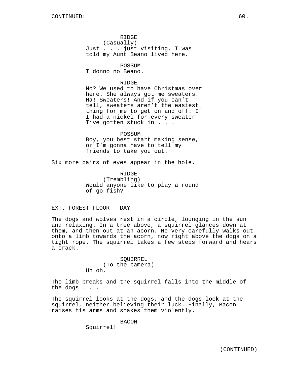RIDGE (Casually) Just . . . just visiting. I was told my Aunt Beano lived here.

POSSUM

I donno no Beano.

### RIDGE

No? We used to have Christmas over here. She always got me sweaters. Ha! Sweaters! And if you can't tell, sweaters aren't the easiest thing for me to get on and off. If I had a nickel for every sweater I've gotten stuck in . . .

POSSUM Boy, you best start making sense, or I'm gonna have to tell my friends to take you out.

Six more pairs of eyes appear in the hole.

**RIDGE** (Trembling) Would anyone like to play a round of go-fish?

EXT. FOREST FLOOR - DAY

The dogs and wolves rest in a circle, lounging in the sun and relaxing. In a tree above, a squirrel glances down at them, and then out at an acorn. He very carefully walks out onto a limb towards the acorn, now right above the dogs on a tight rope. The squirrel takes a few steps forward and hears a crack.

> SQUIRREL (To the camera) Uh oh.

The limb breaks and the squirrel falls into the middle of the dogs . . .

The squirrel looks at the dogs, and the dogs look at the squirrel, neither believing their luck. Finally, Bacon raises his arms and shakes them violently.

BACON

Squirrel!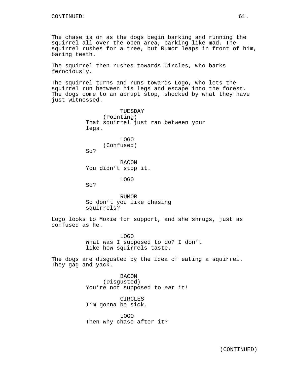The chase is on as the dogs begin barking and running the squirrel all over the open area, barking like mad. The squirrel rushes for a tree, but Rumor leaps in front of him, baring teeth.

The squirrel then rushes towards Circles, who barks ferociously.

The squirrel turns and runs towards Logo, who lets the squirrel run between his legs and escape into the forest. The dogs come to an abrupt stop, shocked by what they have just witnessed.

> TUESDAY (Pointing) That squirrel just ran between your legs.

LOGO (Confused)

So?

BACON You didn't stop it.

LOGO

So?

RUMOR So don't you like chasing squirrels?

Logo looks to Moxie for support, and she shrugs, just as confused as he.

> LOGO What was I supposed to do? I don't like how squirrels taste.

The dogs are disgusted by the idea of eating a squirrel. They gag and yack.

> BACON (Disgusted) You're not supposed to eat it!

CIRCLES I'm gonna be sick.

LOGO Then why chase after it?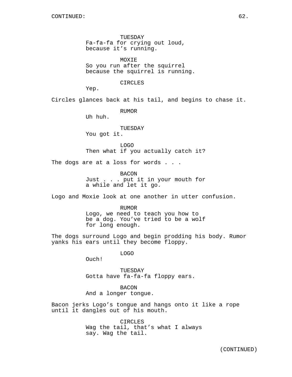TUESDAY Fa-fa-fa for crying out loud, because it's running.

MOXIE So you run after the squirrel because the squirrel is running.

CIRCLES

Yep.

Circles glances back at his tail, and begins to chase it.

RUMOR

Uh huh.

## TUESDAY You got it.

LOGO

Then what if you actually catch it?

The dogs are at a loss for words . . .

BACON Just . . . put it in your mouth for a while and let it go.

Logo and Moxie look at one another in utter confusion.

RUMOR Logo, we need to teach you how to be a dog. You've tried to be a wolf for long enough.

The dogs surround Logo and begin prodding his body. Rumor yanks his ears until they become floppy.

LOGO

Ouch!

**TUESDAY** Gotta have fa-fa-fa floppy ears.

BACON And a longer tongue.

Bacon jerks Logo's tongue and hangs onto it like a rope until it dangles out of his mouth.

> CIRCLES Wag the tail, that's what I always say. Wag the tail.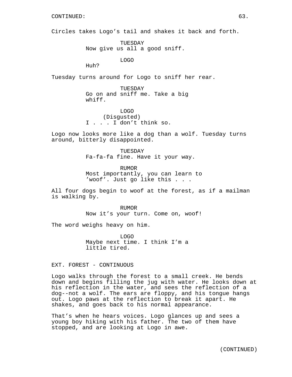Circles takes Logo's tail and shakes it back and forth.

TUESDAY Now give us all a good sniff.

LOGO

Huh?

Tuesday turns around for Logo to sniff her rear.

TUESDAY Go on and sniff me. Take a big whiff.

LOGO (Disgusted) I . . . I don't think so.

Logo now looks more like a dog than a wolf. Tuesday turns around, bitterly disappointed.

> TUESDAY Fa-fa-fa fine. Have it your way.

RUMOR Most importantly, you can learn to 'woof'. Just go like this . . .

All four dogs begin to woof at the forest, as if a mailman is walking by.

> RUMOR Now it's your turn. Come on, woof!

The word weighs heavy on him.

LOGO Maybe next time. I think I'm a little tired.

EXT. FOREST - CONTINUOUS

Logo walks through the forest to a small creek. He bends down and begins filling the jug with water. He looks down at his reflection in the water, and sees the reflection of a dog--not a wolf. The ears are floppy, and his tongue hangs out. Logo paws at the reflection to break it apart. He shakes, and goes back to his normal appearance.

That's when he hears voices. Logo glances up and sees a young boy hiking with his father. The two of them have stopped, and are looking at Logo in awe.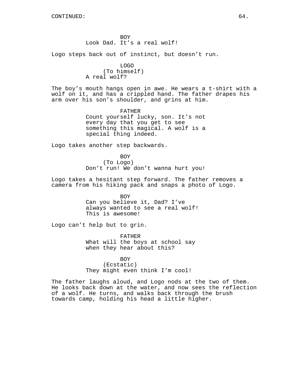BOY Look Dad. It's a real wolf!

Logo steps back out of instinct, but doesn't run.

LOGO (To himself) A real wolf?

The boy's mouth hangs open in awe. He wears a t-shirt with a wolf on it, and has a crippled hand. The father drapes his arm over his son's shoulder, and grins at him.

> FATHER Count yourself lucky, son. It's not every day that you get to see something this magical. A wolf is a special thing indeed.

Logo takes another step backwards.

BOY (To Logo) Don't run! We don't wanna hurt you!

Logo takes a hesitant step forward. The father removes a camera from his hiking pack and snaps a photo of Logo.

> BOY Can you believe it, Dad? I've always wanted to see a real wolf! This is awesome!

Logo can't help but to grin.

FATHER What will the boys at school say when they hear about this?

### BOY

(Ecstatic) They might even think I'm cool!

The father laughs aloud, and Logo nods at the two of them. He looks back down at the water, and now sees the reflection of a wolf. He turns, and walks back through the brush towards camp, holding his head a little higher.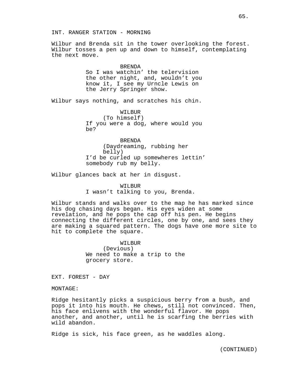Wilbur and Brenda sit in the tower overlooking the forest. Wilbur tosses a pen up and down to himself, contemplating the next move.

> BRENDA So I was watchin' the telervision the other night, and, wouldn't you know it, I see my Urncle Lewis on the Jerry Springer show.

Wilbur says nothing, and scratches his chin.

WILBUR (To himself) If you were a dog, where would you be?

BRENDA (Daydreaming, rubbing her belly) I'd be curled up somewheres lettin' somebody rub my belly.

Wilbur glances back at her in disgust.

WILBUR I wasn't talking to you, Brenda.

Wilbur stands and walks over to the map he has marked since his dog chasing days began. His eyes widen at some revelation, and he pops the cap off his pen. He begins connecting the different circles, one by one, and sees they are making a squared pattern. The dogs have one more site to hit to complete the square.

> WILBUR (Devious) We need to make a trip to the grocery store.

EXT. FOREST - DAY

MONTAGE:

Ridge hesitantly picks a suspicious berry from a bush, and pops it into his mouth. He chews, still not convinced. Then, his face enlivens with the wonderful flavor. He pops another, and another, until he is scarfing the berries with wild abandon.

Ridge is sick, his face green, as he waddles along.

(CONTINUED)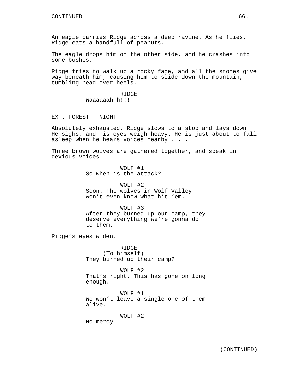An eagle carries Ridge across a deep ravine. As he flies, Ridge eats a handfull of peanuts.

The eagle drops him on the other side, and he crashes into some bushes.

Ridge tries to walk up a rocky face, and all the stones give way beneath him, causing him to slide down the mountain, tumbling head over heels.

> RIDGE Waaaaaahhh!!!

EXT. FOREST - NIGHT

Absolutely exhausted, Ridge slows to a stop and lays down. He sighs, and his eyes weigh heavy. He is just about to fall asleep when he hears voices nearby . . .

Three brown wolves are gathered together, and speak in devious voices.

> WOLF #1 So when is the attack?

WOLF #2 Soon. The wolves in Wolf Valley won't even know what hit 'em.

WOLF #3 After they burned up our camp, they deserve everything we're gonna do to them.

Ridge's eyes widen.

RIDGE (To himself) They burned up their camp?

WOLF #2 That's right. This has gone on long enough.

WOLF #1 We won't leave a single one of them alive.

WOLF #2

No mercy.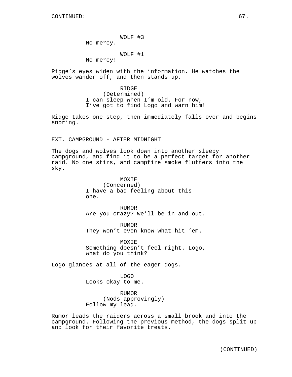WOLF #3

No mercy.

WOLF #1

No mercy!

Ridge's eyes widen with the information. He watches the wolves wander off, and then stands up.

> RIDGE (Determined) I can sleep when I'm old. For now, I've got to find Logo and warn him!

Ridge takes one step, then immediately falls over and begins snoring.

EXT. CAMPGROUND - AFTER MIDNIGHT

The dogs and wolves look down into another sleepy campground, and find it to be a perfect target for another raid. No one stirs, and campfire smoke flutters into the sky.

> MOXIE (Concerned) I have a bad feeling about this one.

**RIJMOR** Are you crazy? We'll be in and out.

RUMOR They won't even know what hit 'em.

MOXIE Something doesn't feel right. Logo, what do you think?

Logo glances at all of the eager dogs.

LOGO Looks okay to me.

RUMOR (Nods approvingly) Follow my lead.

Rumor leads the raiders across a small brook and into the campground. Following the previous method, the dogs split up and look for their favorite treats.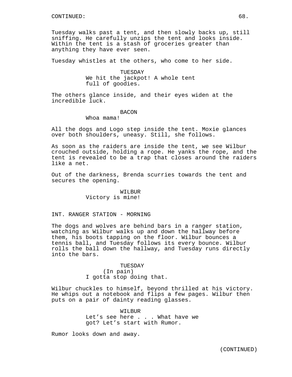Tuesday walks past a tent, and then slowly backs up, still sniffing. He carefully unzips the tent and looks inside. Within the tent is a stash of groceries greater than anything they have ever seen.

Tuesday whistles at the others, who come to her side.

TUESDAY We hit the jackpot! A whole tent full of goodies.

The others glance inside, and their eyes widen at the incredible luck.

## **BACON**

Whoa mama!

All the dogs and Logo step inside the tent. Moxie glances over both shoulders, uneasy. Still, she follows.

As soon as the raiders are inside the tent, we see Wilbur crouched outside, holding a rope. He yanks the rope, and the tent is revealed to be a trap that closes around the raiders like a net.

Out of the darkness, Brenda scurries towards the tent and secures the opening.

> WILBUR Victory is mine!

# INT. RANGER STATION - MORNING

The dogs and wolves are behind bars in a ranger station, watching as Wilbur walks up and down the hallway before them, his boots tapping on the floor. Wilbur bounces a tennis ball, and Tuesday follows its every bounce. Wilbur rolls the ball down the hallway, and Tuesday runs directly into the bars.

> TUESDAY (In pain) I gotta stop doing that.

Wilbur chuckles to himself, beyond thrilled at his victory. He whips out a notebook and flips a few pages. Wilbur then puts on a pair of dainty reading glasses.

> WILBUR Let's see here . . . What have we got? Let's start with Rumor.

Rumor looks down and away.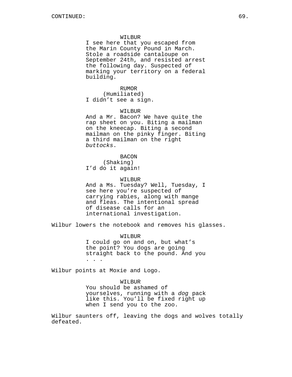### WILBUR

I see here that you escaped from the Marin County Pound in March. Stole a roadside cantaloupe on September 24th, and resisted arrest the following day. Suspected of marking your territory on a federal building.

#### RUMOR

(Humiliated) I didn't see a sign.

#### WILBUR

And a Mr. Bacon? We have quite the rap sheet on you. Biting a mailman on the kneecap. Biting a second mailman on the pinky finger. Biting a third mailman on the right buttocks.

BACON (Shaking) I'd do it again!

#### WILBUR

And a Ms. Tuesday? Well, Tuesday, I see here you're suspected of carrying rabies, along with mange and fleas. The intentional spread of disease calls for an international investigation.

Wilbur lowers the notebook and removes his glasses.

#### WILBUR

I could go on and on, but what's the point? You dogs are going straight back to the pound. And you . . .

Wilbur points at Moxie and Logo.

### WILBUR

You should be ashamed of yourselves, running with a dog pack like this. You'll be fixed right up when I send you to the zoo.

Wilbur saunters off, leaving the dogs and wolves totally defeated.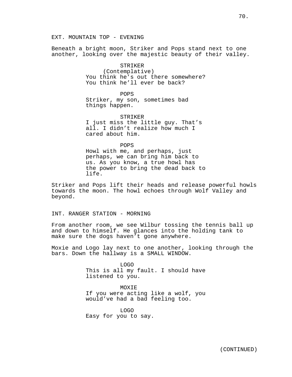EXT. MOUNTAIN TOP - EVENING

Beneath a bright moon, Striker and Pops stand next to one another, looking over the majestic beauty of their valley.

# STRIKER

(Contemplative) You think he's out there somewhere? You think he'll ever be back?

#### POPS

Striker, my son, sometimes bad things happen.

STRIKER I just miss the little guy. That's

all. I didn't realize how much I cared about him.

POPS

Howl with me, and perhaps, just perhaps, we can bring him back to us. As you know, a true howl has the power to bring the dead back to life.

Striker and Pops lift their heads and release powerful howls towards the moon. The howl echoes through Wolf Valley and beyond.

## INT. RANGER STATION - MORNING

From another room, we see Wilbur tossing the tennis ball up and down to himself. He glances into the holding tank to make sure the dogs haven't gone anywhere.

Moxie and Logo lay next to one another, looking through the bars. Down the hallway is a SMALL WINDOW.

> LOGO This is all my fault. I should have listened to you.

> MOXIE If you were acting like a wolf, you would've had a bad feeling too.

LOGO Easy for you to say.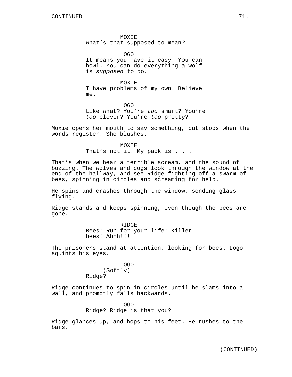MOXIE What's that supposed to mean?

LOGO It means you have it easy. You can howl. You can do everything a wolf is supposed to do.

MOXIE I have problems of my own. Believe me.

LOGO Like what? You're too smart? You're too clever? You're too pretty?

Moxie opens her mouth to say something, but stops when the words register. She blushes.

> MOXIE That's not it. My pack is . . .

That's when we hear a terrible scream, and the sound of buzzing. The wolves and dogs look through the window at the end of the hallway, and see Ridge fighting off a swarm of bees, spinning in circles and screaming for help.

He spins and crashes through the window, sending glass flying.

Ridge stands and keeps spinning, even though the bees are gone.

> RIDGE Bees! Run for your life! Killer bees! Ahhh!!!

The prisoners stand at attention, looking for bees. Logo squints his eyes.

> LOGO (Softly) Ridge?

Ridge continues to spin in circles until he slams into a wall, and promptly falls backwards.

> LOGO Ridge? Ridge is that you?

Ridge glances up, and hops to his feet. He rushes to the bars.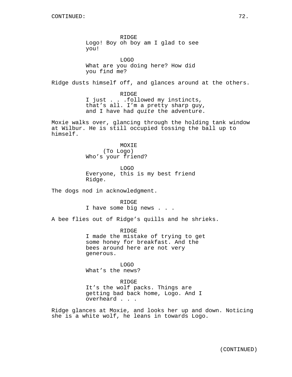RIDGE Logo! Boy oh boy am I glad to see you!

LOGO What are you doing here? How did you find me?

Ridge dusts himself off, and glances around at the others.

RIDGE I just . . .followed my instincts, that's all. I'm a pretty sharp guy, and I have had quite the adventure.

Moxie walks over, glancing through the holding tank window at Wilbur. He is still occupied tossing the ball up to himself.

> MOXIE (To Logo) Who's your friend?

LOGO Everyone, this is my best friend Ridge.

The dogs nod in acknowledgment.

RIDGE I have some big news . . .

A bee flies out of Ridge's quills and he shrieks.

RIDGE I made the mistake of trying to get some honey for breakfast. And the bees around here are not very generous.

LOGO What's the news?

RIDGE It's the wolf packs. Things are getting bad back home, Logo. And I overheard . . .

Ridge glances at Moxie, and looks her up and down. Noticing she is a white wolf, he leans in towards Logo.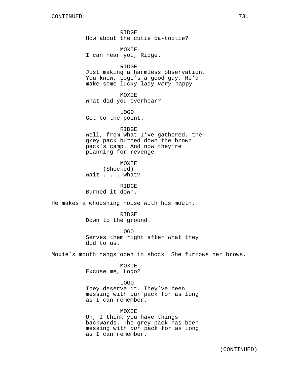RIDGE How about the cutie pa-tootie?

MOXIE I can hear you, Ridge.

#### RIDGE

Just making a harmless observation. You know, Logo's a good guy. He'd make some lucky lady very happy.

MOXIE What did you overhear?

LOGO Get to the point.

#### RIDGE

Well, from what I've gathered, the grey pack burned down the brown pack's camp. And now they're planning for revenge.

MOXIE (Shocked) Wait . . . what?

RIDGE Burned it down.

He makes a whooshing noise with his mouth.

RIDGE Down to the ground.

LOGO Serves them right after what they did to us.

Moxie's mouth hangs open in shock. She furrows her brows.

MOXIE Excuse me, Logo?

## LOGO

They deserve it. They've been messing with our pack for as long as I can remember.

MOXIE

Uh, I think you have things backwards. The grey pack has been messing with our pack for as long as I can remember.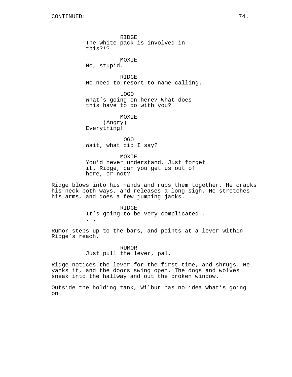RIDGE The white pack is involved in this?!?

MOXIE No, stupid.

RIDGE

No need to resort to name-calling.

LOGO What's going on here? What does this have to do with you?

MOXIE (Angry) Everything!

. .

LOGO Wait, what did I say?

MOXIE You'd never understand. Just forget it. Ridge, can you get us out of here, or not?

Ridge blows into his hands and rubs them together. He cracks his neck both ways, and releases a long sigh. He stretches his arms, and does a few jumping jacks.

> RIDGE It's going to be very complicated .

Rumor steps up to the bars, and points at a lever within Ridge's reach.

> RUMOR Just pull the lever, pal.

Ridge notices the lever for the first time, and shrugs. He yanks it, and the doors swing open. The dogs and wolves sneak into the hallway and out the broken window.

Outside the holding tank, Wilbur has no idea what's going on.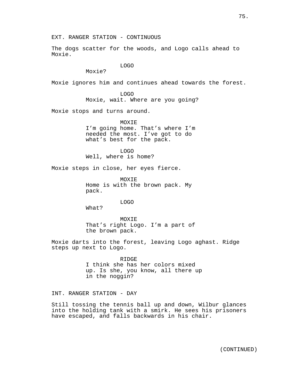EXT. RANGER STATION - CONTINUOUS

The dogs scatter for the woods, and Logo calls ahead to Moxie.

LOGO

Moxie?

Moxie ignores him and continues ahead towards the forest.

LOGO Moxie, wait. Where are you going?

Moxie stops and turns around.

MOXIE I'm going home. That's where I'm needed the most. I've got to do what's best for the pack.

LOGO Well, where is home?

Moxie steps in close, her eyes fierce.

MOXIE Home is with the brown pack. My pack.

LOGO

What?

MOXIE That's right Logo. I'm a part of the brown pack.

Moxie darts into the forest, leaving Logo aghast. Ridge steps up next to Logo.

> RIDGE I think she has her colors mixed up. Is she, you know, all there up in the noggin?

INT. RANGER STATION - DAY

Still tossing the tennis ball up and down, Wilbur glances into the holding tank with a smirk. He sees his prisoners have escaped, and falls backwards in his chair.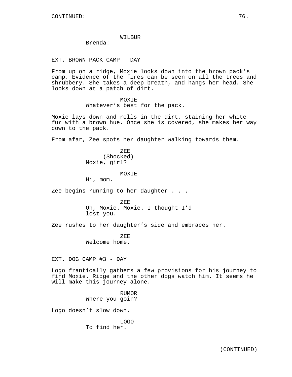#### WILBUR

Brenda!

EXT. BROWN PACK CAMP - DAY

From up on a ridge, Moxie looks down into the brown pack's camp. Evidence of the fires can be seen on all the trees and shrubbery. She takes a deep breath, and hangs her head. She looks down at a patch of dirt.

#### MOXIE

Whatever's best for the pack.

Moxie lays down and rolls in the dirt, staining her white fur with a brown hue. Once she is covered, she makes her way down to the pack.

From afar, Zee spots her daughter walking towards them.

ZEE (Shocked) Moxie, girl?

#### **MOXTE**

Hi, mom.

Zee begins running to her daughter . . .

ZEE Oh, Moxie. Moxie. I thought I'd lost you.

Zee rushes to her daughter's side and embraces her.

ZEE Welcome home.

EXT. DOG CAMP #3 - DAY

Logo frantically gathers a few provisions for his journey to find Moxie. Ridge and the other dogs watch him. It seems he will make this journey alone.

> RUMOR Where you goin?

Logo doesn't slow down.

LOGO To find her.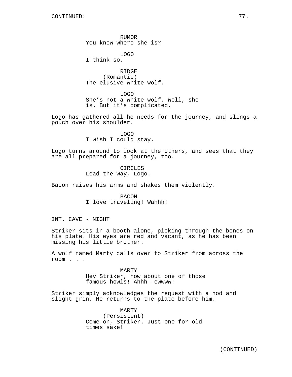RUMOR You know where she is?

LOGO I think so.

RIDGE (Romantic) The elusive white wolf.

LOGO She's not a white wolf. Well, she is. But it's complicated.

Logo has gathered all he needs for the journey, and slings a pouch over his shoulder.

> LOGO I wish I could stay.

Logo turns around to look at the others, and sees that they are all prepared for a journey, too.

> CIRCLES Lead the way, Logo.

Bacon raises his arms and shakes them violently.

BACON I love traveling! Wahhh!

INT. CAVE - NIGHT

Striker sits in a booth alone, picking through the bones on his plate. His eyes are red and vacant, as he has been missing his little brother.

A wolf named Marty calls over to Striker from across the room . . .

> MARTY Hey Striker, how about one of those famous howls! Ahhh--ewwww!

Striker simply acknowledges the request with a nod and slight grin. He returns to the plate before him.

> MARTY (Persistent) Come on, Striker. Just one for old times sake!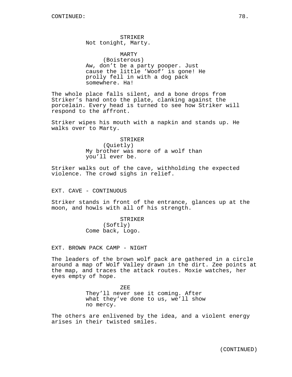STRIKER Not tonight, Marty.

MARTY (Boisterous) Aw, don't be a party pooper. Just cause the little 'Woof' is gone! He prolly fell in with a dog pack somewhere. Ha!

The whole place falls silent, and a bone drops from Striker's hand onto the plate, clanking against the porcelain. Every head is turned to see how Striker will respond to the affront.

Striker wipes his mouth with a napkin and stands up. He walks over to Marty.

STRIKER

(Quietly) My brother was more of a wolf than you'll ever be.

Striker walks out of the cave, withholding the expected violence. The crowd sighs in relief.

EXT. CAVE - CONTINUOUS

Striker stands in front of the entrance, glances up at the moon, and howls with all of his strength.

> STRIKER (Softly) Come back, Logo.

EXT. BROWN PACK CAMP - NIGHT

The leaders of the brown wolf pack are gathered in a circle around a map of Wolf Valley drawn in the dirt. Zee points at the map, and traces the attack routes. Moxie watches, her eyes empty of hope.

> ZEE They'll never see it coming. After what they've done to us, we'll show no mercy.

The others are enlivened by the idea, and a violent energy arises in their twisted smiles.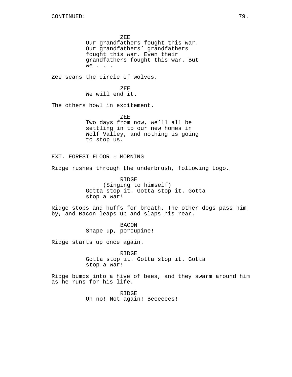ZEE Our grandfathers fought this war. Our grandfathers' grandfathers fought this war. Even their grandfathers fought this war. But we . . . Zee scans the circle of wolves. ZEE We will end it. The others howl in excitement. ZEE Two days from now, we'll all be settling in to our new homes in Wolf Valley, and nothing is going to stop us. EXT. FOREST FLOOR - MORNING Ridge rushes through the underbrush, following Logo. RIDGE (Singing to himself) Gotta stop it. Gotta stop it. Gotta stop a war! Ridge stops and huffs for breath. The other dogs pass him by, and Bacon leaps up and slaps his rear. BACON Shape up, porcupine! Ridge starts up once again. RIDGE Gotta stop it. Gotta stop it. Gotta stop a war!

Ridge bumps into a hive of bees, and they swarm around him as he runs for his life.

> RIDGE Oh no! Not again! Beeeeees!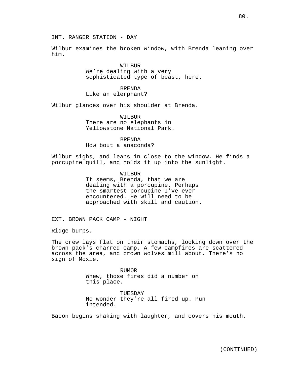INT. RANGER STATION - DAY

Wilbur examines the broken window, with Brenda leaning over him.

> WILBUR We're dealing with a very sophisticated type of beast, here.

BRENDA Like an elerphant?

Wilbur glances over his shoulder at Brenda.

WILBUR There are no elephants in Yellowstone National Park.

BRENDA How bout a anaconda?

Wilbur sighs, and leans in close to the window. He finds a porcupine quill, and holds it up into the sunlight.

> WILBUR It seems, Brenda, that we are dealing with a porcupine. Perhaps the smartest porcupine I've ever encountered. He will need to be approached with skill and caution.

EXT. BROWN PACK CAMP - NIGHT

Ridge burps.

The crew lays flat on their stomachs, looking down over the brown pack's charred camp. A few campfires are scattered across the area, and brown wolves mill about. There's no sign of Moxie.

> **RUMOR** Whew, those fires did a number on this place.

TUESDAY No wonder they're all fired up. Pun intended.

Bacon begins shaking with laughter, and covers his mouth.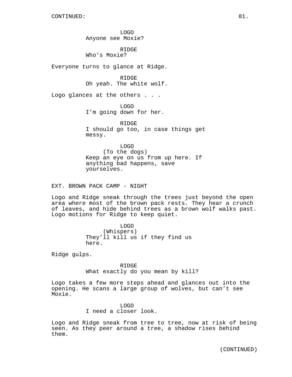LOGO Anyone see Moxie?

RIDGE Who's Moxie?

Everyone turns to glance at Ridge.

RIDGE Oh yeah. The white wolf.

Logo glances at the others . . .

LOGO I'm going down for her.

RIDGE I should go too, in case things get messy.

LOGO (To the dogs) Keep an eye on us from up here. If anything bad happens, save yourselves.

EXT. BROWN PACK CAMP - NIGHT

Logo and Ridge sneak through the trees just beyond the open area where most of the brown pack rests. They hear a crunch of leaves, and hide behind trees as a brown wolf walks past. Logo motions for Ridge to keep quiet.

> LOGO (Whispers) They'll kill us if they find us here.

Ridge gulps.

RIDGE What exactly do you mean by kill?

Logo takes a few more steps ahead and glances out into the opening. He scans a large group of wolves, but can't see Moxie.

> LOGO I need a closer look.

Logo and Ridge sneak from tree to tree, now at risk of being seen. As they peer around a tree, a shadow rises behind them.

(CONTINUED)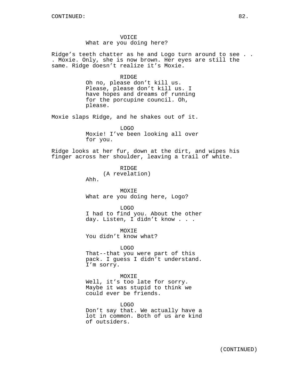VOICE What are you doing here?

Ridge's teeth chatter as he and Logo turn around to see . . . Moxie. Only, she is now brown. Her eyes are still the same. Ridge doesn't realize it's Moxie.

RIDGE

Oh no, please don't kill us. Please, please don't kill us. I have hopes and dreams of running for the porcupine council. Oh, please.

Moxie slaps Ridge, and he shakes out of it.

LOGO Moxie! I've been looking all over for you.

Ridge looks at her fur, down at the dirt, and wipes his finger across her shoulder, leaving a trail of white.

> RIDGE (A revelation)

Ahh.

MOXIE What are you doing here, Logo?

LOGO I had to find you. About the other day. Listen, I didn't know . . .

MOXIE You didn't know what?

LOGO That--that you were part of this pack. I guess I didn't understand. I'm sorry.

MOXIE Well, it's too late for sorry. Maybe it was stupid to think we could ever be friends.

LOGO Don't say that. We actually have a lot in common. Both of us are kind of outsiders.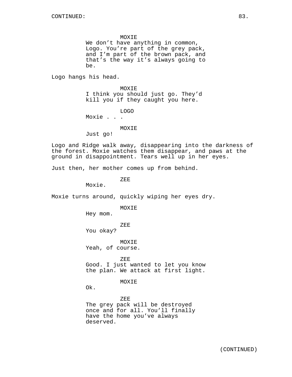MOXIE

We don't have anything in common, Logo. You're part of the grey pack, and I'm part of the brown pack, and that's the way it's always going to be.

Logo hangs his head.

MOXIE I think you should just go. They'd kill you if they caught you here.

LOGO Moxie . . .

## MOXIE

Just go!

Logo and Ridge walk away, disappearing into the darkness of the forest. Moxie watches them disappear, and paws at the ground in disappointment. Tears well up in her eyes.

Just then, her mother comes up from behind.

ZEE

Moxie.

Moxie turns around, quickly wiping her eyes dry.

MOXIE

Hey mom.

ZEE

You okay?

MOXIE Yeah, of course.

ZEE Good. I just wanted to let you know the plan. We attack at first light.

MOXIE

Ok.

ZEE The grey pack will be destroyed once and for all. You'll finally have the home you've always deserved.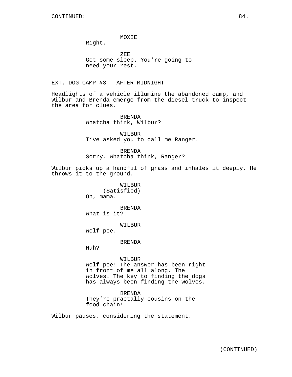## MOXIE

Right.

ZEE Get some sleep. You're going to need your rest.

EXT. DOG CAMP #3 - AFTER MIDNIGHT

Headlights of a vehicle illumine the abandoned camp, and Wilbur and Brenda emerge from the diesel truck to inspect the area for clues.

> BRENDA Whatcha think, Wilbur?

WILBUR I've asked you to call me Ranger.

**BRENDA** Sorry. Whatcha think, Ranger?

Wilbur picks up a handful of grass and inhales it deeply. He throws it to the ground.

> WILBUR (Satisfied) Oh, mama.

> BRENDA What is it?!

> > WILBUR

Wolf pee.

BRENDA

Huh?

WILBUR

Wolf pee! The answer has been right in front of me all along. The wolves. The key to finding the dogs has always been finding the wolves.

BRENDA They're practally cousins on the

food chain!

Wilbur pauses, considering the statement.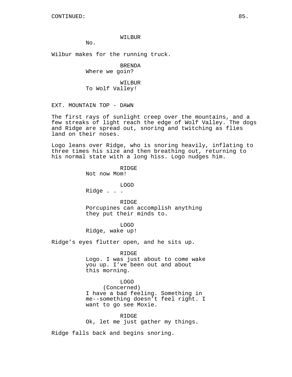## WILBUR

No.

Wilbur makes for the running truck.

BRENDA Where we goin?

WILBUR To Wolf Valley!

EXT. MOUNTAIN TOP - DAWN

The first rays of sunlight creep over the mountains, and a few streaks of light reach the edge of Wolf Valley. The dogs and Ridge are spread out, snoring and twitching as flies land on their noses.

Logo leans over Ridge, who is snoring heavily, inflating to three times his size and then breathing out, returning to his normal state with a long hiss. Logo nudges him.

> RIDGE Not now Mom!

LOGO Ridge . . .

RIDGE Porcupines can accomplish anything they put their minds to.

LOGO Ridge, wake up!

Ridge's eyes flutter open, and he sits up.

RIDGE

Logo. I was just about to come wake you up. I've been out and about this morning.

#### LOGO

(Concerned) I have a bad feeling. Something in me--something doesn't feel right. I want to go see Moxie.

RIDGE Ok, let me just gather my things.

Ridge falls back and begins snoring.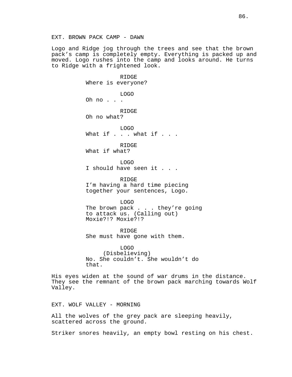Logo and Ridge jog through the trees and see that the brown pack's camp is completely empty. Everything is packed up and moved. Logo rushes into the camp and looks around. He turns to Ridge with a frightened look.

> RIDGE Where is everyone? LOGO Oh no . . . RIDGE Oh no what? LOGO What if . . . what if . . . RIDGE What if what? LOGO I should have seen it . . . RIDGE I'm having a hard time piecing together your sentences, Logo. LOGO The brown pack . . . they're going to attack us. (Calling out) Moxie?!? Moxie?!?

RIDGE She must have gone with them.

LOGO (Disbelieving) No. She couldn't. She wouldn't do that.

His eyes widen at the sound of war drums in the distance. They see the remnant of the brown pack marching towards Wolf Valley.

EXT. WOLF VALLEY - MORNING

All the wolves of the grey pack are sleeping heavily, scattered across the ground.

Striker snores heavily, an empty bowl resting on his chest.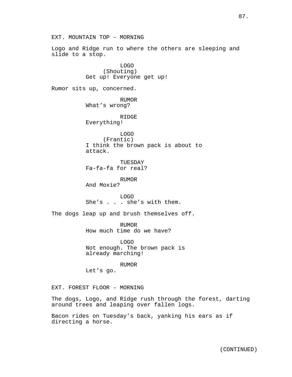EXT. MOUNTAIN TOP - MORNING Logo and Ridge run to where the others are sleeping and slide to a stop. LOGO (Shouting) Get up! Everyone get up! Rumor sits up, concerned. RUMOR What's wrong? RIDGE Everything! LOGO (Frantic) I think the brown pack is about to attack. TUESDAY Fa-fa-fa for real? RUMOR And Moxie? LOGO She's . . . she's with them. The dogs leap up and brush themselves off. RUMOR How much time do we have? LOGO Not enough. The brown pack is already marching! RUMOR Let's go. EXT. FOREST FLOOR - MORNING The dogs, Logo, and Ridge rush through the forest, darting around trees and leaping over fallen logs. Bacon rides on Tuesday's back, yanking his ears as if directing a horse.

87.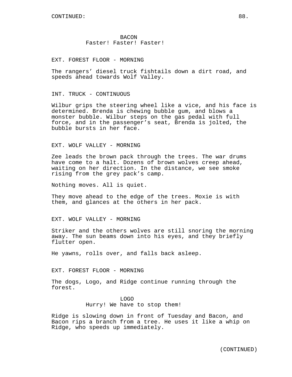**BACON** Faster! Faster! Faster!

EXT. FOREST FLOOR - MORNING

The rangers' diesel truck fishtails down a dirt road, and speeds ahead towards Wolf Valley.

INT. TRUCK - CONTINUOUS

Wilbur grips the steering wheel like a vice, and his face is determined. Brenda is chewing bubble gum, and blows a monster bubble. Wilbur steps on the gas pedal with full force, and in the passenger's seat, Brenda is jolted, the bubble bursts in her face.

EXT. WOLF VALLEY - MORNING

Zee leads the brown pack through the trees. The war drums have come to a halt. Dozens of brown wolves creep ahead, waiting on her direction. In the distance, we see smoke rising from the grey pack's camp.

Nothing moves. All is quiet.

They move ahead to the edge of the trees. Moxie is with them, and glances at the others in her pack.

EXT. WOLF VALLEY - MORNING

Striker and the others wolves are still snoring the morning away. The sun beams down into his eyes, and they briefly flutter open.

He yawns, rolls over, and falls back asleep.

EXT. FOREST FLOOR - MORNING

The dogs, Logo, and Ridge continue running through the forest.

> LOGO Hurry! We have to stop them!

Ridge is slowing down in front of Tuesday and Bacon, and Bacon rips a branch from a tree. He uses it like a whip on Ridge, who speeds up immediately.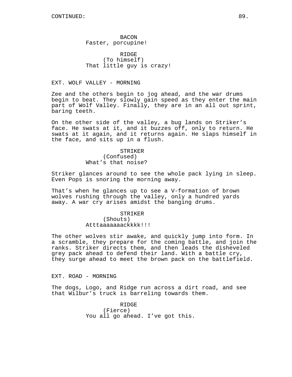BACON Faster, porcupine!

RIDGE (To himself) That little guy is crazy!

EXT. WOLF VALLEY - MORNING

Zee and the others begin to jog ahead, and the war drums begin to beat. They slowly gain speed as they enter the main part of Wolf Valley. Finally, they are in an all out sprint, baring teeth.

On the other side of the valley, a bug lands on Striker's face. He swats at it, and it buzzes off, only to return. He swats at it again, and it returns again. He slaps himself in the face, and sits up in a flush.

> STRIKER (Confused) What's that noise?

Striker glances around to see the whole pack lying in sleep. Even Pops is snoring the morning away.

That's when he glances up to see a V-formation of brown wolves rushing through the valley, only a hundred yards away. A war cry arises amidst the banging drums.

> STRIKER (Shouts) Atttaaaaaaackkkk!!!

The other wolves stir awake, and quickly jump into form. In a scramble, they prepare for the coming battle, and join the ranks. Striker directs them, and then leads the disheveled grey pack ahead to defend their land. With a battle cry, they surge ahead to meet the brown pack on the battlefield.

EXT. ROAD - MORNING

The dogs, Logo, and Ridge run across a dirt road, and see that Wilbur's truck is barreling towards them.

> RIDGE (Fierce) You all go ahead. I've got this.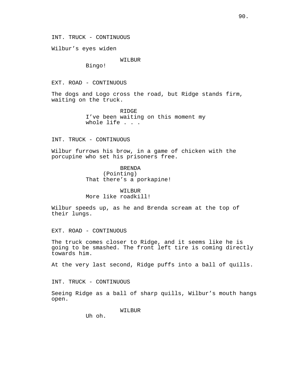INT. TRUCK - CONTINUOUS

Wilbur's eyes widen

## WILBUR

Bingo!

EXT. ROAD - CONTINUOUS

The dogs and Logo cross the road, but Ridge stands firm, waiting on the truck.

> RIDGE I've been waiting on this moment my whole life . . .

INT. TRUCK - CONTINUOUS

Wilbur furrows his brow, in a game of chicken with the porcupine who set his prisoners free.

> BRENDA (Pointing) That there's a porkapine!

WILBUR More like roadkill!

Wilbur speeds up, as he and Brenda scream at the top of their lungs.

EXT. ROAD - CONTINUOUS

The truck comes closer to Ridge, and it seems like he is going to be smashed. The front left tire is coming directly towards him.

At the very last second, Ridge puffs into a ball of quills.

INT. TRUCK - CONTINUOUS

Seeing Ridge as a ball of sharp quills, Wilbur's mouth hangs open.

WILBUR

Uh oh.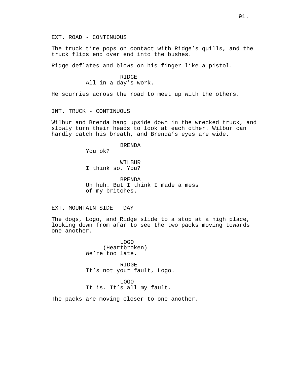EXT. ROAD - CONTINUOUS

The truck tire pops on contact with Ridge's quills, and the truck flips end over end into the bushes.

Ridge deflates and blows on his finger like a pistol.

# RIDGE All in a day's work.

He scurries across the road to meet up with the others.

INT. TRUCK - CONTINUOUS

Wilbur and Brenda hang upside down in the wrecked truck, and slowly turn their heads to look at each other. Wilbur can hardly catch his breath, and Brenda's eyes are wide.

## BRENDA

You ok?

WILBUR I think so. You?

BRENDA Uh huh. But I think I made a mess of my britches.

EXT. MOUNTAIN SIDE - DAY

The dogs, Logo, and Ridge slide to a stop at a high place, looking down from afar to see the two packs moving towards one another.

> LOGO (Heartbroken) We're too late.

RIDGE It's not your fault, Logo.

LOGO It is. It's all my fault.

The packs are moving closer to one another.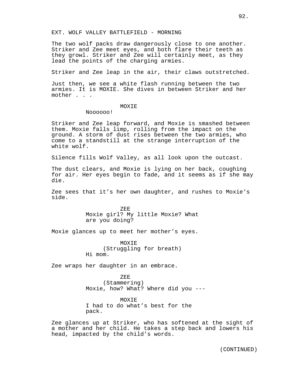#### EXT. WOLF VALLEY BATTLEFIELD - MORNING

The two wolf packs draw dangerously close to one another. Striker and Zee meet eyes, and both flare their teeth as they growl. Striker and Zee will certainly meet, as they lead the points of the charging armies.

Striker and Zee leap in the air, their claws outstretched.

Just then, we see a white flash running between the two armies. It is MOXIE. She dives in between Striker and her mother . . .

### MOXIE

Noooooo!

Striker and Zee leap forward, and Moxie is smashed between them. Moxie falls limp, rolling from the impact on the ground. A storm of dust rises between the two armies, who come to a standstill at the strange interruption of the white wolf.

Silence fills Wolf Valley, as all look upon the outcast.

The dust clears, and Moxie is lying on her back, coughing for air. Her eyes begin to fade, and it seems as if she may die.

Zee sees that it's her own daughter, and rushes to Moxie's side.

> ZEE Moxie girl? My little Moxie? What are you doing?

Moxie glances up to meet her mother's eyes.

MOXIE (Struggling for breath) Hi mom.

Zee wraps her daughter in an embrace.

ZEE (Stammering) Moxie, how? What? Where did you ---

MOXIE I had to do what's best for the pack.

Zee glances up at Striker, who has softened at the sight of a mother and her child. He takes a step back and lowers his head, impacted by the child's words.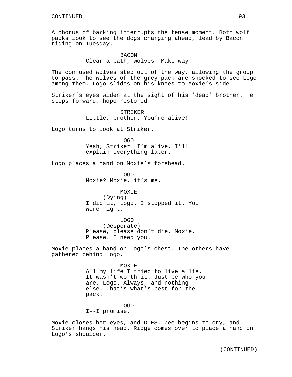A chorus of barking interrupts the tense moment. Both wolf packs look to see the dogs charging ahead, lead by Bacon riding on Tuesday.

# BACON Clear a path, wolves! Make way!

The confused wolves step out of the way, allowing the group to pass. The wolves of the grey pack are shocked to see Logo among them. Logo slides on his knees to Moxie's side.

Striker's eyes widen at the sight of his 'dead' brother. He steps forward, hope restored.

> STRIKER Little, brother. You're alive!

Logo turns to look at Striker.

LOGO Yeah, Striker. I'm alive. I'll explain everything later.

Logo places a hand on Moxie's forehead.

LOGO Moxie? Moxie, it's me.

MOXIE (Dying) I did it, Logo. I stopped it. You were right.

LOGO (Desperate) Please, please don't die, Moxie. Please. I need you.

Moxie places a hand on Logo's chest. The others have gathered behind Logo.

MOXIE

All my life I tried to live a lie. It wasn't worth it. Just be who you are, Logo. Always, and nothing else. That's what's best for the pack.

LOGO I--I promise.

Moxie closes her eyes, and DIES. Zee begins to cry, and Striker hangs his head. Ridge comes over to place a hand on Logo's shoulder.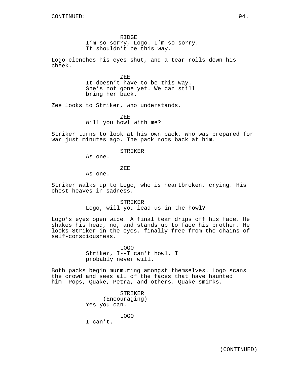RIDGE

I'm so sorry, Logo. I'm so sorry. It shouldn't be this way.

Logo clenches his eyes shut, and a tear rolls down his cheek.

> ZEE It doesn't have to be this way. She's not gone yet. We can still bring her back.

Zee looks to Striker, who understands.

ZEE Will you howl with me?

Striker turns to look at his own pack, who was prepared for war just minutes ago. The pack nods back at him.

#### STRIKER

As one.

ZEE

As one.

Striker walks up to Logo, who is heartbroken, crying. His chest heaves in sadness.

> STRIKER Logo, will you lead us in the howl?

Logo's eyes open wide. A final tear drips off his face. He shakes his head, no, and stands up to face his brother. He looks Striker in the eyes, finally free from the chains of self-consciousness.

> LOGO Striker, I--I can't howl. I probably never will.

Both packs begin murmuring amongst themselves. Logo scans the crowd and sees all of the faces that have haunted him--Pops, Quake, Petra, and others. Quake smirks.

> STRIKER (Encouraging) Yes you can.

> > LOGO

I can't.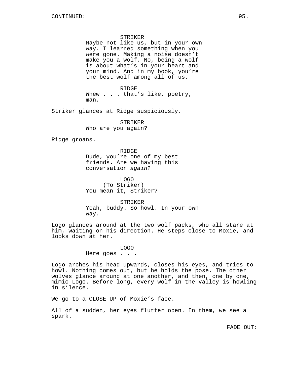### STRIKER

Maybe not like us, but in your own way. I learned something when you were gone. Making a noise doesn't make you a wolf. No, being a wolf is about what's in your heart and your mind. And in my book, you're the best wolf among all of us.

RIDGE Whew . . . that's like, poetry, man.

Striker glances at Ridge suspiciously.

STRIKER Who are you again?

Ridge groans.

RIDGE Dude, you're one of my best friends. Are we having this conversation again?

LOGO (To Striker) You mean it, Striker?

STRIKER Yeah, buddy. So howl. In your own way.

Logo glances around at the two wolf packs, who all stare at him, waiting on his direction. He steps close to Moxie, and looks down at her.

> LOGO Here goes . . .

Logo arches his head upwards, closes his eyes, and tries to howl. Nothing comes out, but he holds the pose. The other wolves glance around at one another, and then, one by one, mimic Logo. Before long, every wolf in the valley is howling in silence.

We go to a CLOSE UP of Moxie's face.

All of a sudden, her eyes flutter open. In them, we see a spark.

FADE OUT: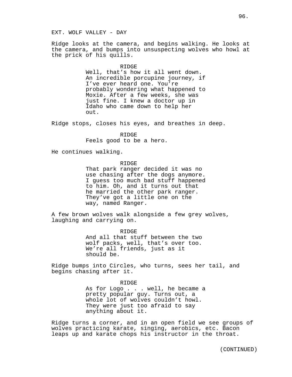#### EXT. WOLF VALLEY - DAY

Ridge looks at the camera, and begins walking. He looks at the camera, and bumps into unsuspecting wolves who howl at the prick of his quills.

#### RIDGE

Well, that's how it all went down. An incredible porcupine journey, if I've ever heard one. You're probably wondering what happened to Moxie. After a few weeks, she was just fine. I knew a doctor up in Idaho who came down to help her out.

Ridge stops, closes his eyes, and breathes in deep.

RIDGE Feels good to be a hero.

He continues walking.

RIDGE

That park ranger decided it was no use chasing after the dogs anymore. I guess too much bad stuff happened to him. Oh, and it turns out that he married the other park ranger. They've got a little one on the way, named Ranger.

A few brown wolves walk alongside a few grey wolves, laughing and carrying on.

> R TDGE And all that stuff between the two wolf packs, well, that's over too. We're all friends, just as it should be.

Ridge bumps into Circles, who turns, sees her tail, and begins chasing after it.

> RIDGE As for Logo . . . well, he became a pretty popular guy. Turns out, a whole lot of wolves couldn't howl. They were just too afraid to say anything about it.

Ridge turns a corner, and in an open field we see groups of wolves practicing karate, singing, aerobics, etc. Bacon leaps up and karate chops his instructor in the throat.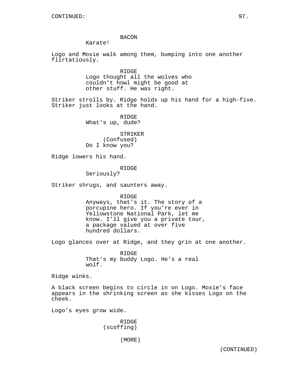## BACON

Karate!

Logo and Moxie walk among them, bumping into one another flirtatiously.

> RIDGE Logo thought all the wolves who couldn't howl might be good at other stuff. He was right.

Striker strolls by. Ridge holds up his hand for a high-five. Striker just looks at the hand.

> RIDGE What's up, dude?

STRIKER (Confused) Do I know you?

Ridge lowers his hand.

### RIDGE

Seriously?

Striker shrugs, and saunters away.

RIDGE

Anyways, that's it. The story of a porcupine hero. If you're ever in Yellowstone National Park, let me know. I'll give you a private tour, a package valued at over five hundred dollars.

Logo glances over at Ridge, and they grin at one another.

RIDGE That's my buddy Logo. He's a real wolf.

Ridge winks.

A black screen begins to circle in on Logo. Moxie's face appears in the shrinking screen as she kisses Logo on the cheek.

Logo's eyes grow wide.

RIDGE (scoffing)

(MORE)